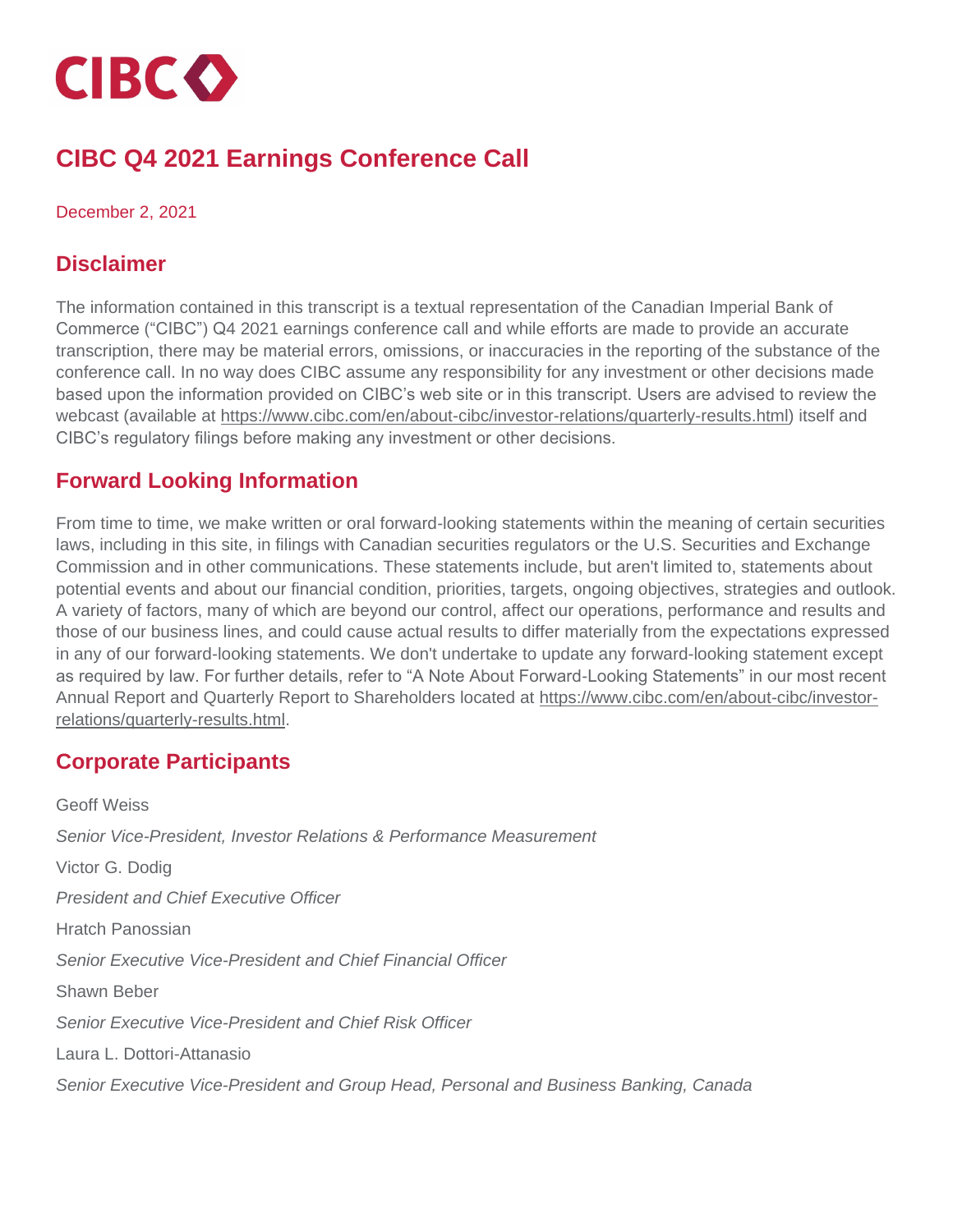

# **CIBC Q4 2021 Earnings Conference Call**

December 2, 2021

## **Disclaimer**

The information contained in this transcript is a textual representation of the Canadian Imperial Bank of Commerce ("CIBC") Q4 2021 earnings conference call and while efforts are made to provide an accurate transcription, there may be material errors, omissions, or inaccuracies in the reporting of the substance of the conference call. In no way does CIBC assume any responsibility for any investment or other decisions made based upon the information provided on CIBC's web site or in this transcript. Users are advised to review the webcast (available at [https://www.cibc.com/en/about-cibc/investor-relations/quarterly-results.html\)](https://www.cibc.com/en/about-cibc/investor-relations/quarterly-results.html) itself and CIBC's regulatory filings before making any investment or other decisions.

### **Forward Looking Information**

From time to time, we make written or oral forward-looking statements within the meaning of certain securities laws, including in this site, in filings with Canadian securities regulators or the U.S. Securities and Exchange Commission and in other communications. These statements include, but aren't limited to, statements about potential events and about our financial condition, priorities, targets, ongoing objectives, strategies and outlook. A variety of factors, many of which are beyond our control, affect our operations, performance and results and those of our business lines, and could cause actual results to differ materially from the expectations expressed in any of our forward-looking statements. We don't undertake to update any forward-looking statement except as required by law. For further details, refer to "A Note About Forward-Looking Statements" in our most recent Annual Report and Quarterly Report to Shareholders located at [https://www.cibc.com/en/about-cibc/investor](https://www.cibc.com/en/about-cibc/investor-relations/quarterly-results.html)[relations/quarterly-results.html.](https://www.cibc.com/en/about-cibc/investor-relations/quarterly-results.html)

### **Corporate Participants**

Geoff Weiss *Senior Vice-President, Investor Relations & Performance Measurement* Victor G. Dodig *President and Chief Executive Officer* Hratch Panossian *Senior Executive Vice-President and Chief Financial Officer* Shawn Beber *Senior Executive Vice-President and Chief Risk Officer* Laura L. Dottori-Attanasio *Senior Executive Vice-President and Group Head, Personal and Business Banking, Canada*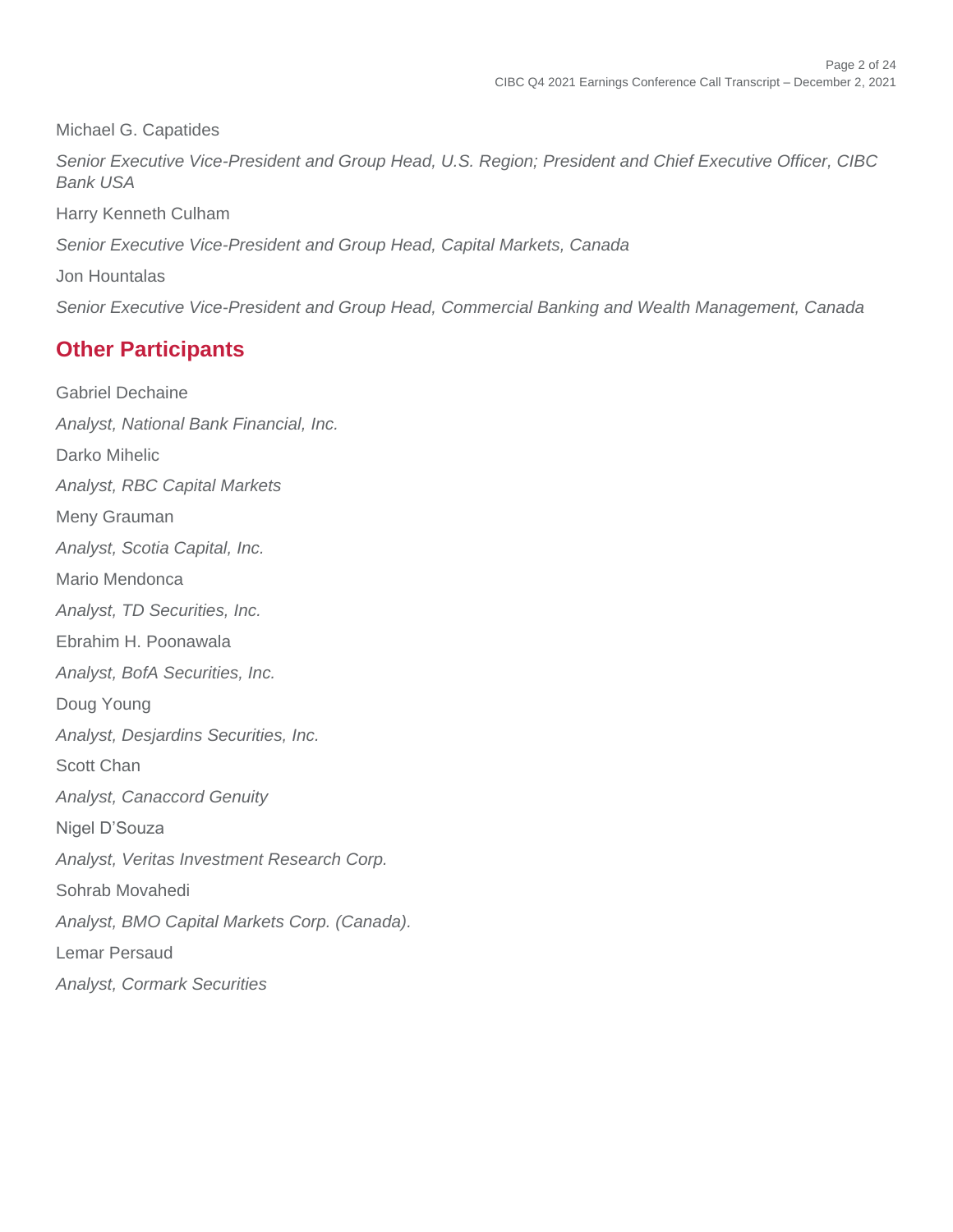Michael G. Capatides *Senior Executive Vice-President and Group Head, U.S. Region; President and Chief Executive Officer, CIBC Bank USA* Harry Kenneth Culham *Senior Executive Vice-President and Group Head, Capital Markets, Canada*  Jon Hountalas *Senior Executive Vice-President and Group Head, Commercial Banking and Wealth Management, Canada* 

## **Other Participants**

Gabriel Dechaine *Analyst, National Bank Financial, Inc.* Darko Mihelic *Analyst, RBC Capital Markets* Meny Grauman *Analyst, Scotia Capital, Inc.* Mario Mendonca *Analyst, TD Securities, Inc.* Ebrahim H. Poonawala *Analyst, BofA Securities, Inc.* Doug Young *Analyst, Desjardins Securities, Inc.* Scott Chan *Analyst, Canaccord Genuity* Nigel D'Souza *Analyst, Veritas Investment Research Corp.* Sohrab Movahedi *Analyst, BMO Capital Markets Corp. (Canada).* Lemar Persaud *Analyst, Cormark Securities*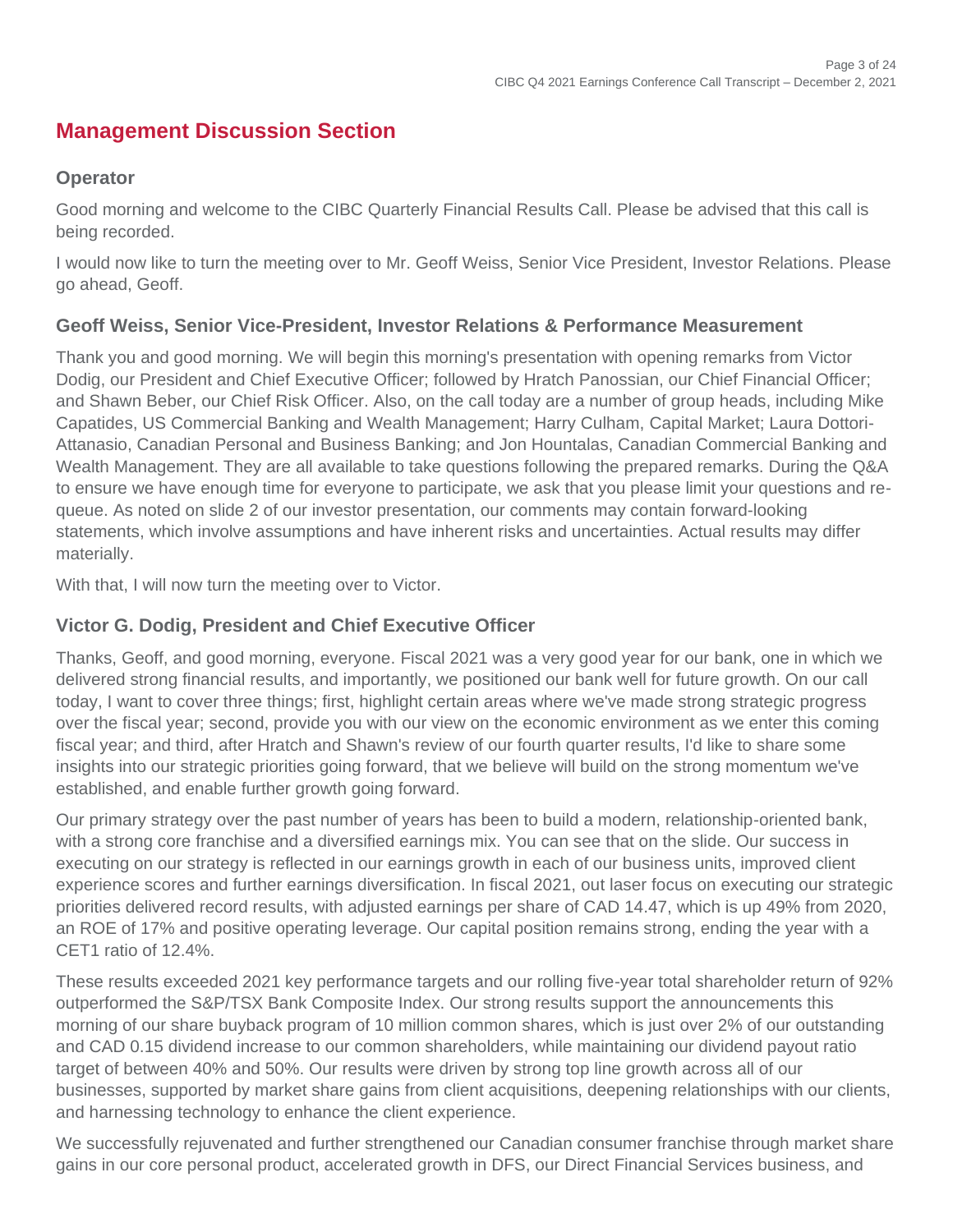## **Management Discussion Section**

#### **Operator**

Good morning and welcome to the CIBC Quarterly Financial Results Call. Please be advised that this call is being recorded.

I would now like to turn the meeting over to Mr. Geoff Weiss, Senior Vice President, Investor Relations. Please go ahead, Geoff.

#### **Geoff Weiss, Senior Vice-President, Investor Relations & Performance Measurement**

Thank you and good morning. We will begin this morning's presentation with opening remarks from Victor Dodig, our President and Chief Executive Officer; followed by Hratch Panossian, our Chief Financial Officer; and Shawn Beber, our Chief Risk Officer. Also, on the call today are a number of group heads, including Mike Capatides, US Commercial Banking and Wealth Management; Harry Culham, Capital Market; Laura Dottori-Attanasio, Canadian Personal and Business Banking; and Jon Hountalas, Canadian Commercial Banking and Wealth Management. They are all available to take questions following the prepared remarks. During the Q&A to ensure we have enough time for everyone to participate, we ask that you please limit your questions and requeue. As noted on slide 2 of our investor presentation, our comments may contain forward-looking statements, which involve assumptions and have inherent risks and uncertainties. Actual results may differ materially.

With that, I will now turn the meeting over to Victor.

### **Victor G. Dodig, President and Chief Executive Officer**

Thanks, Geoff, and good morning, everyone. Fiscal 2021 was a very good year for our bank, one in which we delivered strong financial results, and importantly, we positioned our bank well for future growth. On our call today, I want to cover three things; first, highlight certain areas where we've made strong strategic progress over the fiscal year; second, provide you with our view on the economic environment as we enter this coming fiscal year; and third, after Hratch and Shawn's review of our fourth quarter results, I'd like to share some insights into our strategic priorities going forward, that we believe will build on the strong momentum we've established, and enable further growth going forward.

Our primary strategy over the past number of years has been to build a modern, relationship-oriented bank, with a strong core franchise and a diversified earnings mix. You can see that on the slide. Our success in executing on our strategy is reflected in our earnings growth in each of our business units, improved client experience scores and further earnings diversification. In fiscal 2021, out laser focus on executing our strategic priorities delivered record results, with adjusted earnings per share of CAD 14.47, which is up 49% from 2020, an ROE of 17% and positive operating leverage. Our capital position remains strong, ending the year with a CET1 ratio of 12.4%.

These results exceeded 2021 key performance targets and our rolling five-year total shareholder return of 92% outperformed the S&P/TSX Bank Composite Index. Our strong results support the announcements this morning of our share buyback program of 10 million common shares, which is just over 2% of our outstanding and CAD 0.15 dividend increase to our common shareholders, while maintaining our dividend payout ratio target of between 40% and 50%. Our results were driven by strong top line growth across all of our businesses, supported by market share gains from client acquisitions, deepening relationships with our clients, and harnessing technology to enhance the client experience.

We successfully rejuvenated and further strengthened our Canadian consumer franchise through market share gains in our core personal product, accelerated growth in DFS, our Direct Financial Services business, and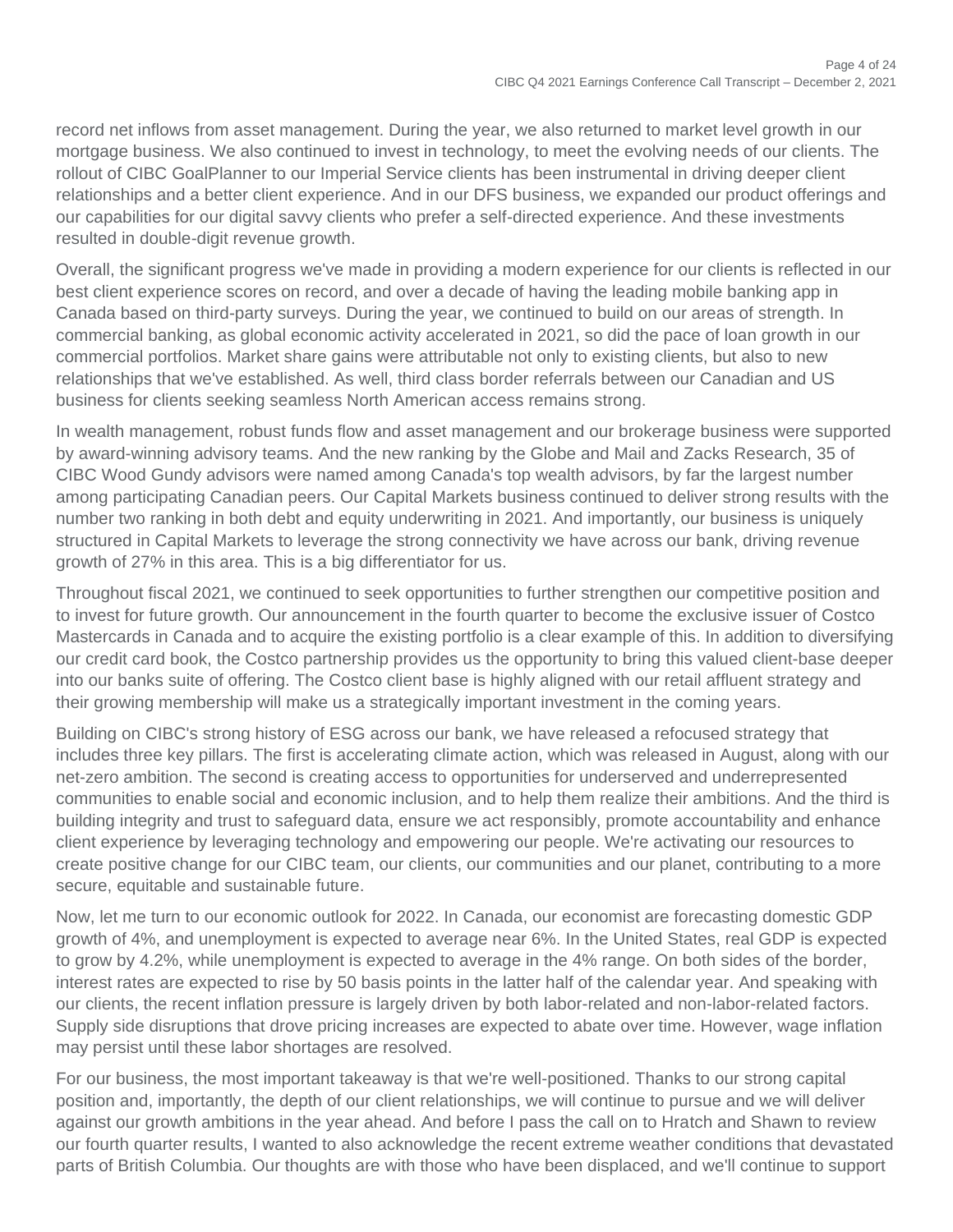record net inflows from asset management. During the year, we also returned to market level growth in our mortgage business. We also continued to invest in technology, to meet the evolving needs of our clients. The rollout of CIBC GoalPlanner to our Imperial Service clients has been instrumental in driving deeper client relationships and a better client experience. And in our DFS business, we expanded our product offerings and our capabilities for our digital savvy clients who prefer a self-directed experience. And these investments resulted in double-digit revenue growth.

Overall, the significant progress we've made in providing a modern experience for our clients is reflected in our best client experience scores on record, and over a decade of having the leading mobile banking app in Canada based on third-party surveys. During the year, we continued to build on our areas of strength. In commercial banking, as global economic activity accelerated in 2021, so did the pace of loan growth in our commercial portfolios. Market share gains were attributable not only to existing clients, but also to new relationships that we've established. As well, third class border referrals between our Canadian and US business for clients seeking seamless North American access remains strong.

In wealth management, robust funds flow and asset management and our brokerage business were supported by award-winning advisory teams. And the new ranking by the Globe and Mail and Zacks Research, 35 of CIBC Wood Gundy advisors were named among Canada's top wealth advisors, by far the largest number among participating Canadian peers. Our Capital Markets business continued to deliver strong results with the number two ranking in both debt and equity underwriting in 2021. And importantly, our business is uniquely structured in Capital Markets to leverage the strong connectivity we have across our bank, driving revenue growth of 27% in this area. This is a big differentiator for us.

Throughout fiscal 2021, we continued to seek opportunities to further strengthen our competitive position and to invest for future growth. Our announcement in the fourth quarter to become the exclusive issuer of Costco Mastercards in Canada and to acquire the existing portfolio is a clear example of this. In addition to diversifying our credit card book, the Costco partnership provides us the opportunity to bring this valued client-base deeper into our banks suite of offering. The Costco client base is highly aligned with our retail affluent strategy and their growing membership will make us a strategically important investment in the coming years.

Building on CIBC's strong history of ESG across our bank, we have released a refocused strategy that includes three key pillars. The first is accelerating climate action, which was released in August, along with our net-zero ambition. The second is creating access to opportunities for underserved and underrepresented communities to enable social and economic inclusion, and to help them realize their ambitions. And the third is building integrity and trust to safeguard data, ensure we act responsibly, promote accountability and enhance client experience by leveraging technology and empowering our people. We're activating our resources to create positive change for our CIBC team, our clients, our communities and our planet, contributing to a more secure, equitable and sustainable future.

Now, let me turn to our economic outlook for 2022. In Canada, our economist are forecasting domestic GDP growth of 4%, and unemployment is expected to average near 6%. In the United States, real GDP is expected to grow by 4.2%, while unemployment is expected to average in the 4% range. On both sides of the border, interest rates are expected to rise by 50 basis points in the latter half of the calendar year. And speaking with our clients, the recent inflation pressure is largely driven by both labor-related and non-labor-related factors. Supply side disruptions that drove pricing increases are expected to abate over time. However, wage inflation may persist until these labor shortages are resolved.

For our business, the most important takeaway is that we're well-positioned. Thanks to our strong capital position and, importantly, the depth of our client relationships, we will continue to pursue and we will deliver against our growth ambitions in the year ahead. And before I pass the call on to Hratch and Shawn to review our fourth quarter results, I wanted to also acknowledge the recent extreme weather conditions that devastated parts of British Columbia. Our thoughts are with those who have been displaced, and we'll continue to support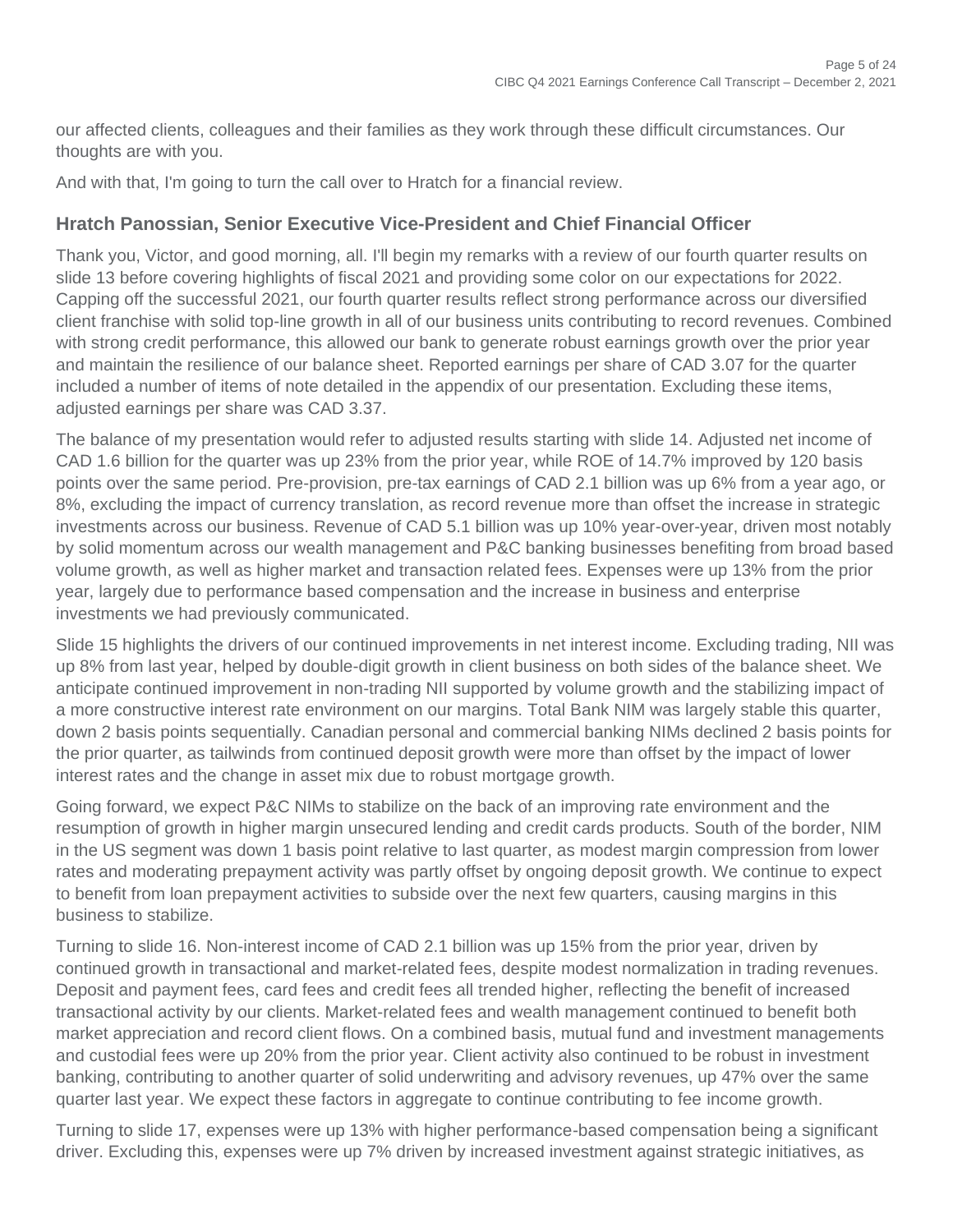our affected clients, colleagues and their families as they work through these difficult circumstances. Our thoughts are with you.

And with that, I'm going to turn the call over to Hratch for a financial review.

#### **Hratch Panossian, Senior Executive Vice-President and Chief Financial Officer**

Thank you, Victor, and good morning, all. I'll begin my remarks with a review of our fourth quarter results on slide 13 before covering highlights of fiscal 2021 and providing some color on our expectations for 2022. Capping off the successful 2021, our fourth quarter results reflect strong performance across our diversified client franchise with solid top-line growth in all of our business units contributing to record revenues. Combined with strong credit performance, this allowed our bank to generate robust earnings growth over the prior year and maintain the resilience of our balance sheet. Reported earnings per share of CAD 3.07 for the quarter included a number of items of note detailed in the appendix of our presentation. Excluding these items, adjusted earnings per share was CAD 3.37.

The balance of my presentation would refer to adjusted results starting with slide 14. Adjusted net income of CAD 1.6 billion for the quarter was up 23% from the prior year, while ROE of 14.7% improved by 120 basis points over the same period. Pre-provision, pre-tax earnings of CAD 2.1 billion was up 6% from a year ago, or 8%, excluding the impact of currency translation, as record revenue more than offset the increase in strategic investments across our business. Revenue of CAD 5.1 billion was up 10% year-over-year, driven most notably by solid momentum across our wealth management and P&C banking businesses benefiting from broad based volume growth, as well as higher market and transaction related fees. Expenses were up 13% from the prior year, largely due to performance based compensation and the increase in business and enterprise investments we had previously communicated.

Slide 15 highlights the drivers of our continued improvements in net interest income. Excluding trading, NII was up 8% from last year, helped by double-digit growth in client business on both sides of the balance sheet. We anticipate continued improvement in non-trading NII supported by volume growth and the stabilizing impact of a more constructive interest rate environment on our margins. Total Bank NIM was largely stable this quarter, down 2 basis points sequentially. Canadian personal and commercial banking NIMs declined 2 basis points for the prior quarter, as tailwinds from continued deposit growth were more than offset by the impact of lower interest rates and the change in asset mix due to robust mortgage growth.

Going forward, we expect P&C NIMs to stabilize on the back of an improving rate environment and the resumption of growth in higher margin unsecured lending and credit cards products. South of the border, NIM in the US segment was down 1 basis point relative to last quarter, as modest margin compression from lower rates and moderating prepayment activity was partly offset by ongoing deposit growth. We continue to expect to benefit from loan prepayment activities to subside over the next few quarters, causing margins in this business to stabilize.

Turning to slide 16. Non-interest income of CAD 2.1 billion was up 15% from the prior year, driven by continued growth in transactional and market-related fees, despite modest normalization in trading revenues. Deposit and payment fees, card fees and credit fees all trended higher, reflecting the benefit of increased transactional activity by our clients. Market-related fees and wealth management continued to benefit both market appreciation and record client flows. On a combined basis, mutual fund and investment managements and custodial fees were up 20% from the prior year. Client activity also continued to be robust in investment banking, contributing to another quarter of solid underwriting and advisory revenues, up 47% over the same quarter last year. We expect these factors in aggregate to continue contributing to fee income growth.

Turning to slide 17, expenses were up 13% with higher performance-based compensation being a significant driver. Excluding this, expenses were up 7% driven by increased investment against strategic initiatives, as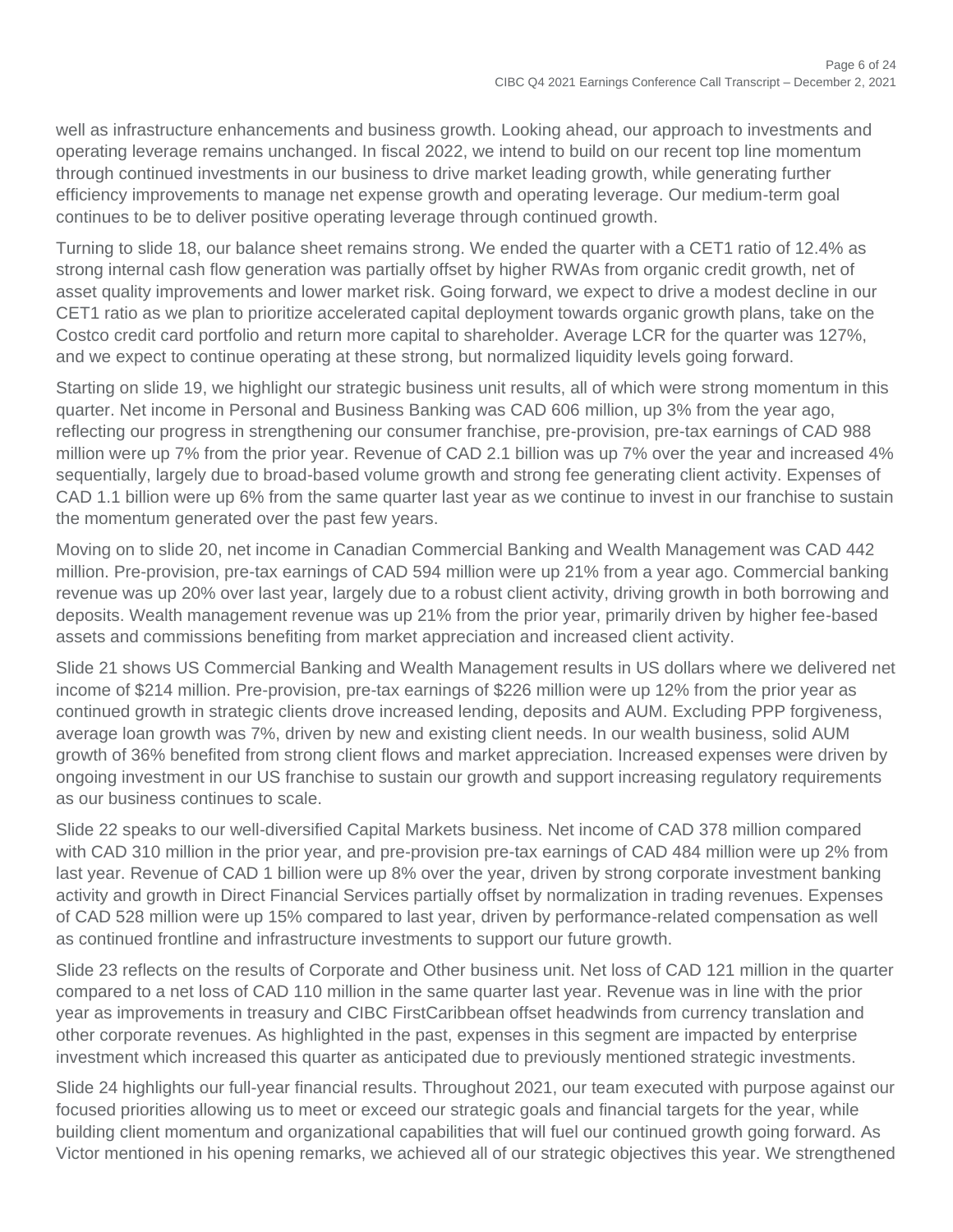well as infrastructure enhancements and business growth. Looking ahead, our approach to investments and operating leverage remains unchanged. In fiscal 2022, we intend to build on our recent top line momentum through continued investments in our business to drive market leading growth, while generating further efficiency improvements to manage net expense growth and operating leverage. Our medium-term goal continues to be to deliver positive operating leverage through continued growth.

Turning to slide 18, our balance sheet remains strong. We ended the quarter with a CET1 ratio of 12.4% as strong internal cash flow generation was partially offset by higher RWAs from organic credit growth, net of asset quality improvements and lower market risk. Going forward, we expect to drive a modest decline in our CET1 ratio as we plan to prioritize accelerated capital deployment towards organic growth plans, take on the Costco credit card portfolio and return more capital to shareholder. Average LCR for the quarter was 127%, and we expect to continue operating at these strong, but normalized liquidity levels going forward.

Starting on slide 19, we highlight our strategic business unit results, all of which were strong momentum in this quarter. Net income in Personal and Business Banking was CAD 606 million, up 3% from the year ago, reflecting our progress in strengthening our consumer franchise, pre-provision, pre-tax earnings of CAD 988 million were up 7% from the prior year. Revenue of CAD 2.1 billion was up 7% over the year and increased 4% sequentially, largely due to broad-based volume growth and strong fee generating client activity. Expenses of CAD 1.1 billion were up 6% from the same quarter last year as we continue to invest in our franchise to sustain the momentum generated over the past few years.

Moving on to slide 20, net income in Canadian Commercial Banking and Wealth Management was CAD 442 million. Pre-provision, pre-tax earnings of CAD 594 million were up 21% from a year ago. Commercial banking revenue was up 20% over last year, largely due to a robust client activity, driving growth in both borrowing and deposits. Wealth management revenue was up 21% from the prior year, primarily driven by higher fee-based assets and commissions benefiting from market appreciation and increased client activity.

Slide 21 shows US Commercial Banking and Wealth Management results in US dollars where we delivered net income of \$214 million. Pre-provision, pre-tax earnings of \$226 million were up 12% from the prior year as continued growth in strategic clients drove increased lending, deposits and AUM. Excluding PPP forgiveness, average loan growth was 7%, driven by new and existing client needs. In our wealth business, solid AUM growth of 36% benefited from strong client flows and market appreciation. Increased expenses were driven by ongoing investment in our US franchise to sustain our growth and support increasing regulatory requirements as our business continues to scale.

Slide 22 speaks to our well-diversified Capital Markets business. Net income of CAD 378 million compared with CAD 310 million in the prior year, and pre-provision pre-tax earnings of CAD 484 million were up 2% from last year. Revenue of CAD 1 billion were up 8% over the year, driven by strong corporate investment banking activity and growth in Direct Financial Services partially offset by normalization in trading revenues. Expenses of CAD 528 million were up 15% compared to last year, driven by performance-related compensation as well as continued frontline and infrastructure investments to support our future growth.

Slide 23 reflects on the results of Corporate and Other business unit. Net loss of CAD 121 million in the quarter compared to a net loss of CAD 110 million in the same quarter last year. Revenue was in line with the prior year as improvements in treasury and CIBC FirstCaribbean offset headwinds from currency translation and other corporate revenues. As highlighted in the past, expenses in this segment are impacted by enterprise investment which increased this quarter as anticipated due to previously mentioned strategic investments.

Slide 24 highlights our full-year financial results. Throughout 2021, our team executed with purpose against our focused priorities allowing us to meet or exceed our strategic goals and financial targets for the year, while building client momentum and organizational capabilities that will fuel our continued growth going forward. As Victor mentioned in his opening remarks, we achieved all of our strategic objectives this year. We strengthened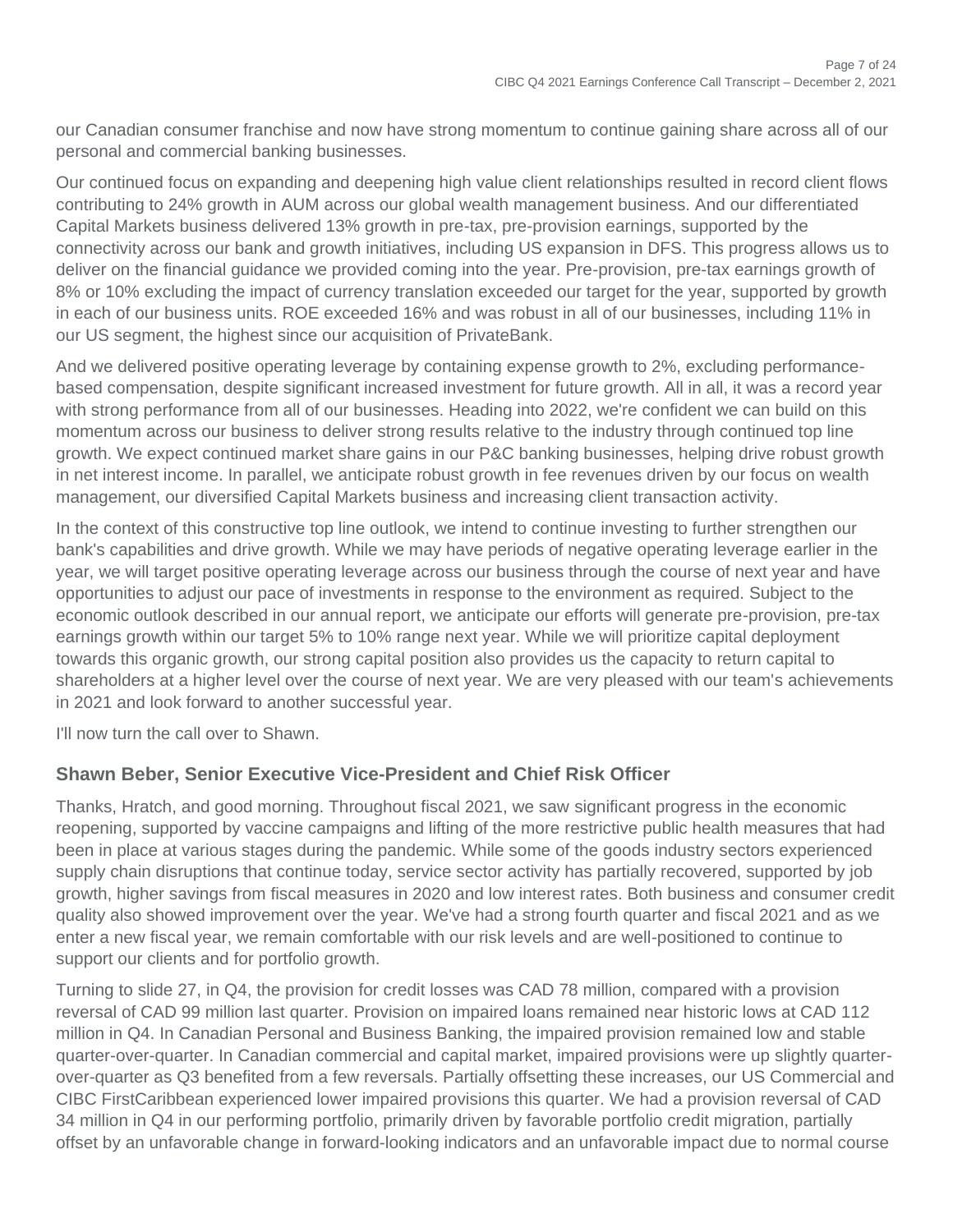our Canadian consumer franchise and now have strong momentum to continue gaining share across all of our personal and commercial banking businesses.

Our continued focus on expanding and deepening high value client relationships resulted in record client flows contributing to 24% growth in AUM across our global wealth management business. And our differentiated Capital Markets business delivered 13% growth in pre-tax, pre-provision earnings, supported by the connectivity across our bank and growth initiatives, including US expansion in DFS. This progress allows us to deliver on the financial guidance we provided coming into the year. Pre-provision, pre-tax earnings growth of 8% or 10% excluding the impact of currency translation exceeded our target for the year, supported by growth in each of our business units. ROE exceeded 16% and was robust in all of our businesses, including 11% in our US segment, the highest since our acquisition of PrivateBank.

And we delivered positive operating leverage by containing expense growth to 2%, excluding performancebased compensation, despite significant increased investment for future growth. All in all, it was a record year with strong performance from all of our businesses. Heading into 2022, we're confident we can build on this momentum across our business to deliver strong results relative to the industry through continued top line growth. We expect continued market share gains in our P&C banking businesses, helping drive robust growth in net interest income. In parallel, we anticipate robust growth in fee revenues driven by our focus on wealth management, our diversified Capital Markets business and increasing client transaction activity.

In the context of this constructive top line outlook, we intend to continue investing to further strengthen our bank's capabilities and drive growth. While we may have periods of negative operating leverage earlier in the year, we will target positive operating leverage across our business through the course of next year and have opportunities to adjust our pace of investments in response to the environment as required. Subject to the economic outlook described in our annual report, we anticipate our efforts will generate pre-provision, pre-tax earnings growth within our target 5% to 10% range next year. While we will prioritize capital deployment towards this organic growth, our strong capital position also provides us the capacity to return capital to shareholders at a higher level over the course of next year. We are very pleased with our team's achievements in 2021 and look forward to another successful year.

I'll now turn the call over to Shawn.

### **Shawn Beber, Senior Executive Vice-President and Chief Risk Officer**

Thanks, Hratch, and good morning. Throughout fiscal 2021, we saw significant progress in the economic reopening, supported by vaccine campaigns and lifting of the more restrictive public health measures that had been in place at various stages during the pandemic. While some of the goods industry sectors experienced supply chain disruptions that continue today, service sector activity has partially recovered, supported by job growth, higher savings from fiscal measures in 2020 and low interest rates. Both business and consumer credit quality also showed improvement over the year. We've had a strong fourth quarter and fiscal 2021 and as we enter a new fiscal year, we remain comfortable with our risk levels and are well-positioned to continue to support our clients and for portfolio growth.

Turning to slide 27, in Q4, the provision for credit losses was CAD 78 million, compared with a provision reversal of CAD 99 million last quarter. Provision on impaired loans remained near historic lows at CAD 112 million in Q4. In Canadian Personal and Business Banking, the impaired provision remained low and stable quarter-over-quarter. In Canadian commercial and capital market, impaired provisions were up slightly quarterover-quarter as Q3 benefited from a few reversals. Partially offsetting these increases, our US Commercial and CIBC FirstCaribbean experienced lower impaired provisions this quarter. We had a provision reversal of CAD 34 million in Q4 in our performing portfolio, primarily driven by favorable portfolio credit migration, partially offset by an unfavorable change in forward-looking indicators and an unfavorable impact due to normal course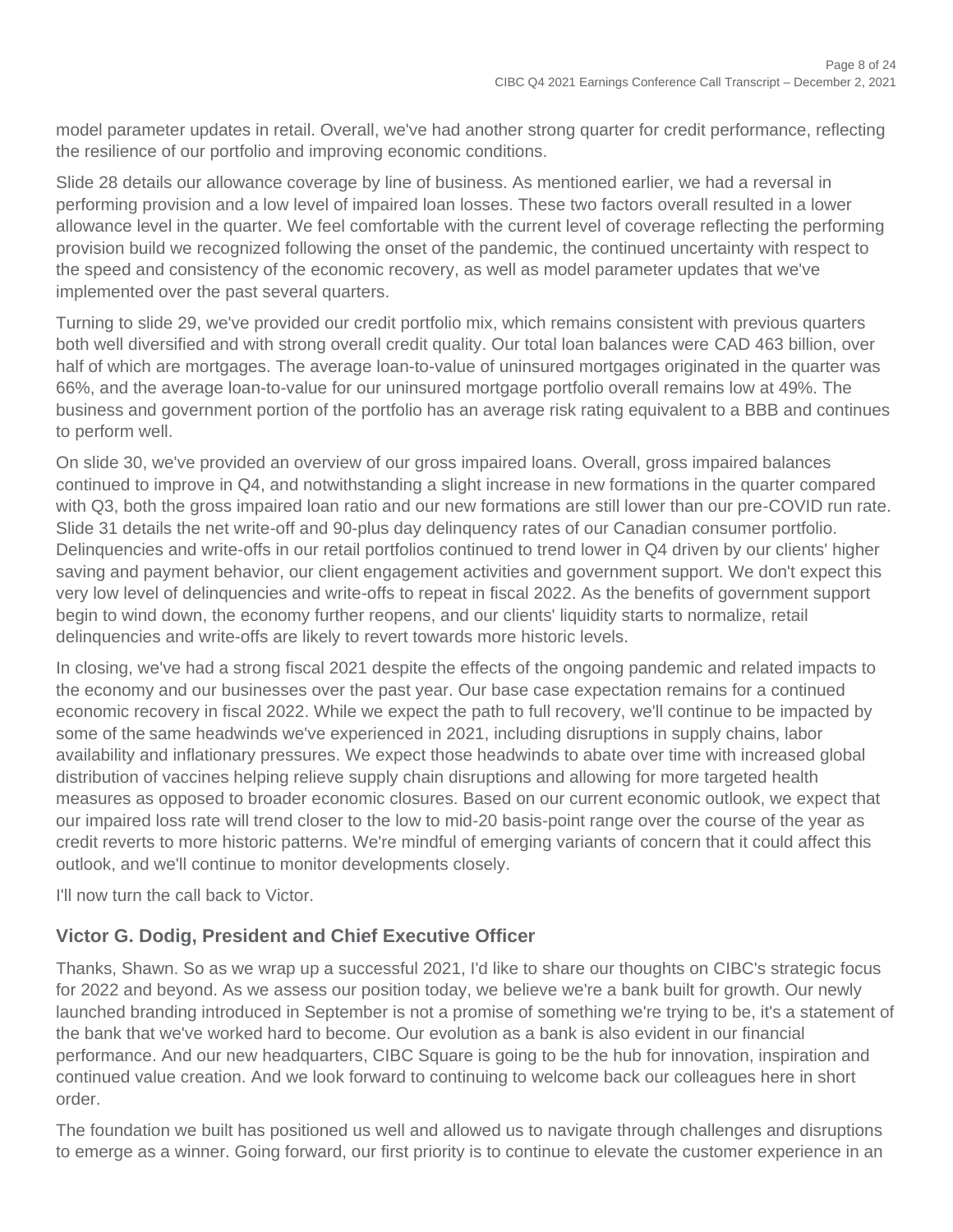model parameter updates in retail. Overall, we've had another strong quarter for credit performance, reflecting the resilience of our portfolio and improving economic conditions.

Slide 28 details our allowance coverage by line of business. As mentioned earlier, we had a reversal in performing provision and a low level of impaired loan losses. These two factors overall resulted in a lower allowance level in the quarter. We feel comfortable with the current level of coverage reflecting the performing provision build we recognized following the onset of the pandemic, the continued uncertainty with respect to the speed and consistency of the economic recovery, as well as model parameter updates that we've implemented over the past several quarters.

Turning to slide 29, we've provided our credit portfolio mix, which remains consistent with previous quarters both well diversified and with strong overall credit quality. Our total loan balances were CAD 463 billion, over half of which are mortgages. The average loan-to-value of uninsured mortgages originated in the quarter was 66%, and the average loan-to-value for our uninsured mortgage portfolio overall remains low at 49%. The business and government portion of the portfolio has an average risk rating equivalent to a BBB and continues to perform well.

On slide 30, we've provided an overview of our gross impaired loans. Overall, gross impaired balances continued to improve in Q4, and notwithstanding a slight increase in new formations in the quarter compared with Q3, both the gross impaired loan ratio and our new formations are still lower than our pre-COVID run rate. Slide 31 details the net write-off and 90-plus day delinquency rates of our Canadian consumer portfolio. Delinquencies and write-offs in our retail portfolios continued to trend lower in Q4 driven by our clients' higher saving and payment behavior, our client engagement activities and government support. We don't expect this very low level of delinquencies and write-offs to repeat in fiscal 2022. As the benefits of government support begin to wind down, the economy further reopens, and our clients' liquidity starts to normalize, retail delinquencies and write-offs are likely to revert towards more historic levels.

In closing, we've had a strong fiscal 2021 despite the effects of the ongoing pandemic and related impacts to the economy and our businesses over the past year. Our base case expectation remains for a continued economic recovery in fiscal 2022. While we expect the path to full recovery, we'll continue to be impacted by some of the same headwinds we've experienced in 2021, including disruptions in supply chains, labor availability and inflationary pressures. We expect those headwinds to abate over time with increased global distribution of vaccines helping relieve supply chain disruptions and allowing for more targeted health measures as opposed to broader economic closures. Based on our current economic outlook, we expect that our impaired loss rate will trend closer to the low to mid-20 basis-point range over the course of the year as credit reverts to more historic patterns. We're mindful of emerging variants of concern that it could affect this outlook, and we'll continue to monitor developments closely.

I'll now turn the call back to Victor.

### **Victor G. Dodig, President and Chief Executive Officer**

Thanks, Shawn. So as we wrap up a successful 2021, I'd like to share our thoughts on CIBC's strategic focus for 2022 and beyond. As we assess our position today, we believe we're a bank built for growth. Our newly launched branding introduced in September is not a promise of something we're trying to be, it's a statement of the bank that we've worked hard to become. Our evolution as a bank is also evident in our financial performance. And our new headquarters, CIBC Square is going to be the hub for innovation, inspiration and continued value creation. And we look forward to continuing to welcome back our colleagues here in short order.

The foundation we built has positioned us well and allowed us to navigate through challenges and disruptions to emerge as a winner. Going forward, our first priority is to continue to elevate the customer experience in an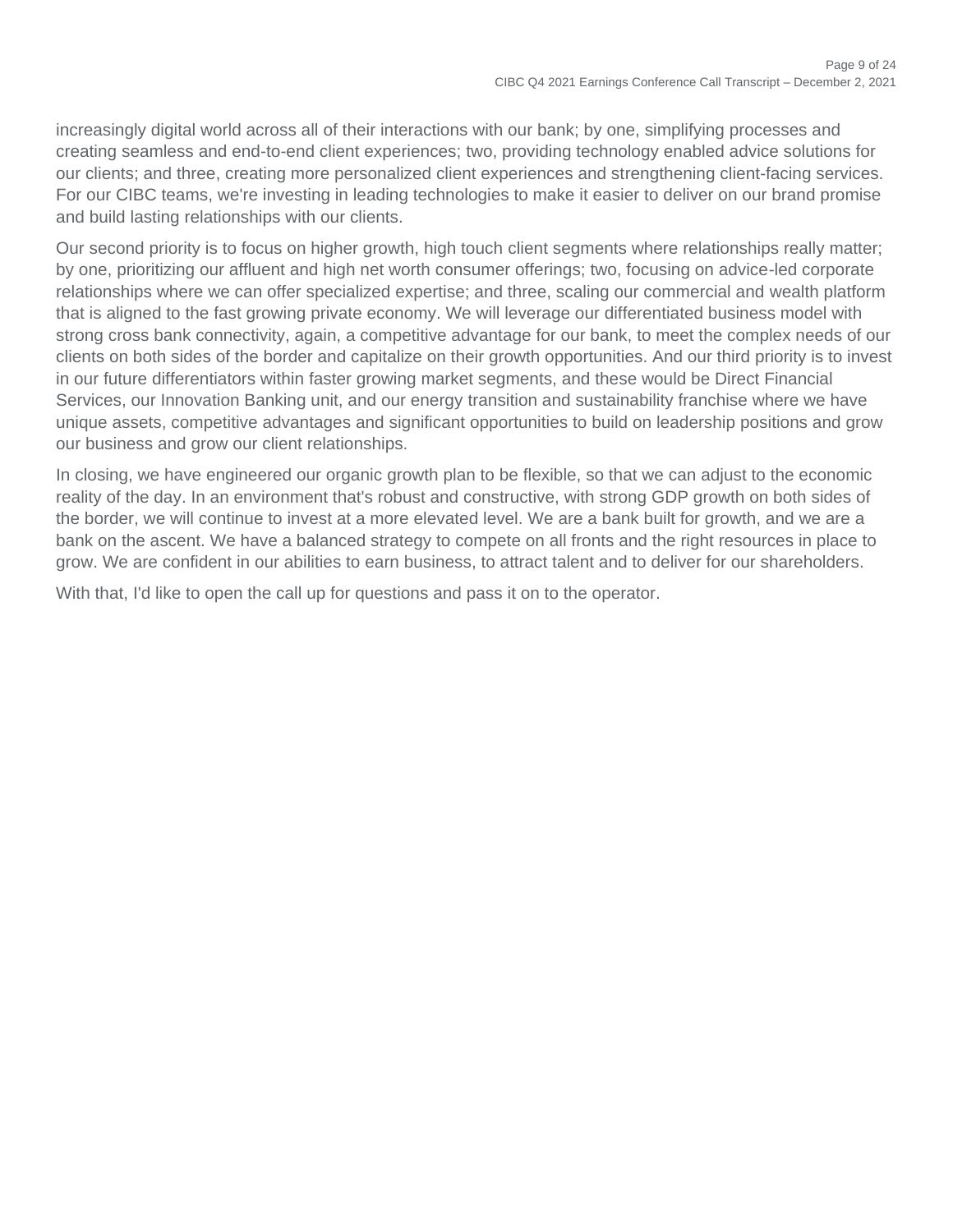increasingly digital world across all of their interactions with our bank; by one, simplifying processes and creating seamless and end-to-end client experiences; two, providing technology enabled advice solutions for our clients; and three, creating more personalized client experiences and strengthening client-facing services. For our CIBC teams, we're investing in leading technologies to make it easier to deliver on our brand promise and build lasting relationships with our clients.

Our second priority is to focus on higher growth, high touch client segments where relationships really matter; by one, prioritizing our affluent and high net worth consumer offerings; two, focusing on advice-led corporate relationships where we can offer specialized expertise; and three, scaling our commercial and wealth platform that is aligned to the fast growing private economy. We will leverage our differentiated business model with strong cross bank connectivity, again, a competitive advantage for our bank, to meet the complex needs of our clients on both sides of the border and capitalize on their growth opportunities. And our third priority is to invest in our future differentiators within faster growing market segments, and these would be Direct Financial Services, our Innovation Banking unit, and our energy transition and sustainability franchise where we have unique assets, competitive advantages and significant opportunities to build on leadership positions and grow our business and grow our client relationships.

In closing, we have engineered our organic growth plan to be flexible, so that we can adjust to the economic reality of the day. In an environment that's robust and constructive, with strong GDP growth on both sides of the border, we will continue to invest at a more elevated level. We are a bank built for growth, and we are a bank on the ascent. We have a balanced strategy to compete on all fronts and the right resources in place to grow. We are confident in our abilities to earn business, to attract talent and to deliver for our shareholders.

With that, I'd like to open the call up for questions and pass it on to the operator.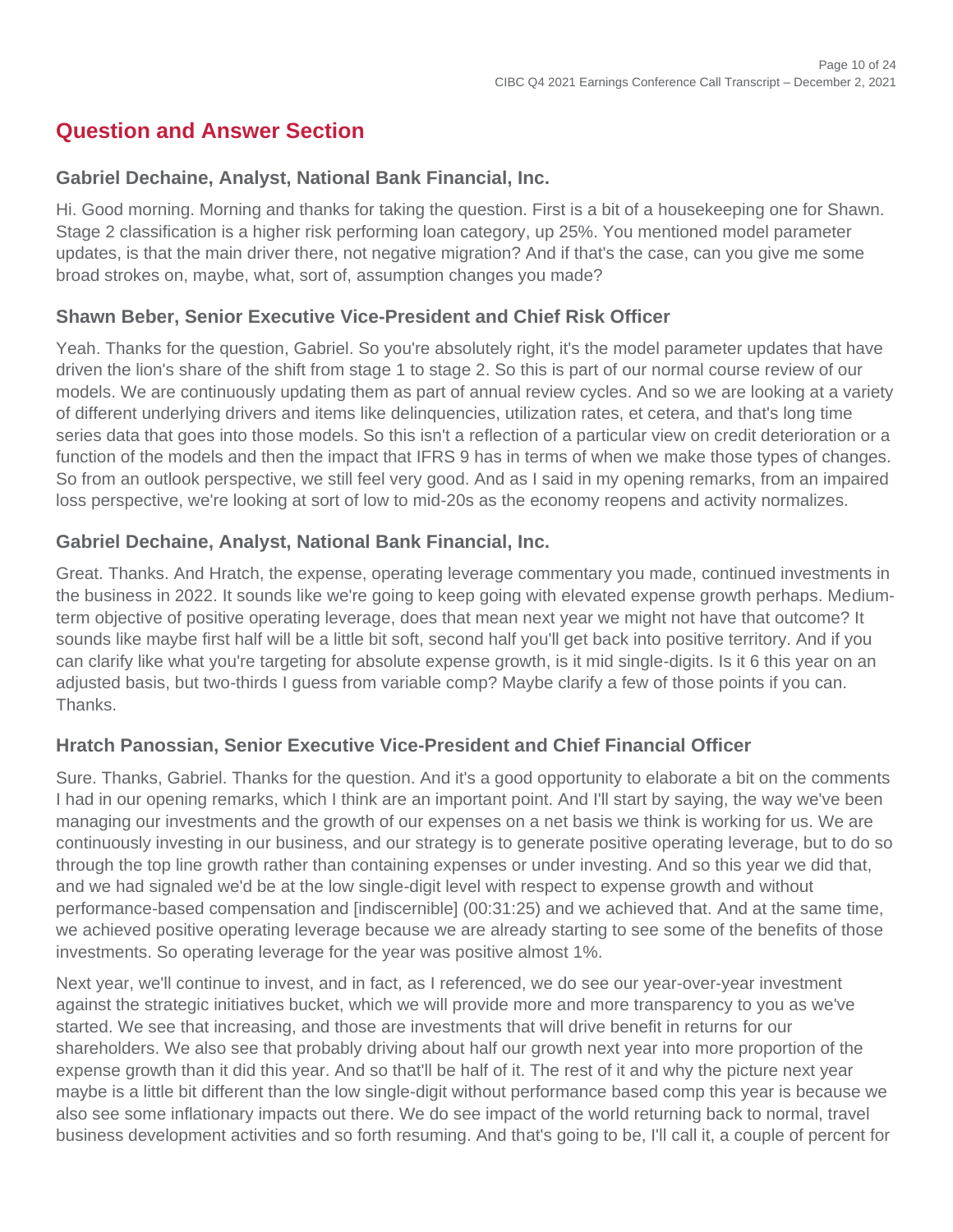## **Question and Answer Section**

### **Gabriel Dechaine, Analyst, National Bank Financial, Inc.**

Hi. Good morning. Morning and thanks for taking the question. First is a bit of a housekeeping one for Shawn. Stage 2 classification is a higher risk performing loan category, up 25%. You mentioned model parameter updates, is that the main driver there, not negative migration? And if that's the case, can you give me some broad strokes on, maybe, what, sort of, assumption changes you made?

#### **Shawn Beber, Senior Executive Vice-President and Chief Risk Officer**

Yeah. Thanks for the question, Gabriel. So you're absolutely right, it's the model parameter updates that have driven the lion's share of the shift from stage 1 to stage 2. So this is part of our normal course review of our models. We are continuously updating them as part of annual review cycles. And so we are looking at a variety of different underlying drivers and items like delinquencies, utilization rates, et cetera, and that's long time series data that goes into those models. So this isn't a reflection of a particular view on credit deterioration or a function of the models and then the impact that IFRS 9 has in terms of when we make those types of changes. So from an outlook perspective, we still feel very good. And as I said in my opening remarks, from an impaired loss perspective, we're looking at sort of low to mid-20s as the economy reopens and activity normalizes.

#### **Gabriel Dechaine, Analyst, National Bank Financial, Inc.**

Great. Thanks. And Hratch, the expense, operating leverage commentary you made, continued investments in the business in 2022. It sounds like we're going to keep going with elevated expense growth perhaps. Mediumterm objective of positive operating leverage, does that mean next year we might not have that outcome? It sounds like maybe first half will be a little bit soft, second half you'll get back into positive territory. And if you can clarify like what you're targeting for absolute expense growth, is it mid single-digits. Is it 6 this year on an adjusted basis, but two-thirds I guess from variable comp? Maybe clarify a few of those points if you can. Thanks.

### **Hratch Panossian, Senior Executive Vice-President and Chief Financial Officer**

Sure. Thanks, Gabriel. Thanks for the question. And it's a good opportunity to elaborate a bit on the comments I had in our opening remarks, which I think are an important point. And I'll start by saying, the way we've been managing our investments and the growth of our expenses on a net basis we think is working for us. We are continuously investing in our business, and our strategy is to generate positive operating leverage, but to do so through the top line growth rather than containing expenses or under investing. And so this year we did that, and we had signaled we'd be at the low single-digit level with respect to expense growth and without performance-based compensation and [indiscernible] (00:31:25) and we achieved that. And at the same time, we achieved positive operating leverage because we are already starting to see some of the benefits of those investments. So operating leverage for the year was positive almost 1%.

Next year, we'll continue to invest, and in fact, as I referenced, we do see our year-over-year investment against the strategic initiatives bucket, which we will provide more and more transparency to you as we've started. We see that increasing, and those are investments that will drive benefit in returns for our shareholders. We also see that probably driving about half our growth next year into more proportion of the expense growth than it did this year. And so that'll be half of it. The rest of it and why the picture next year maybe is a little bit different than the low single-digit without performance based comp this year is because we also see some inflationary impacts out there. We do see impact of the world returning back to normal, travel business development activities and so forth resuming. And that's going to be, I'll call it, a couple of percent for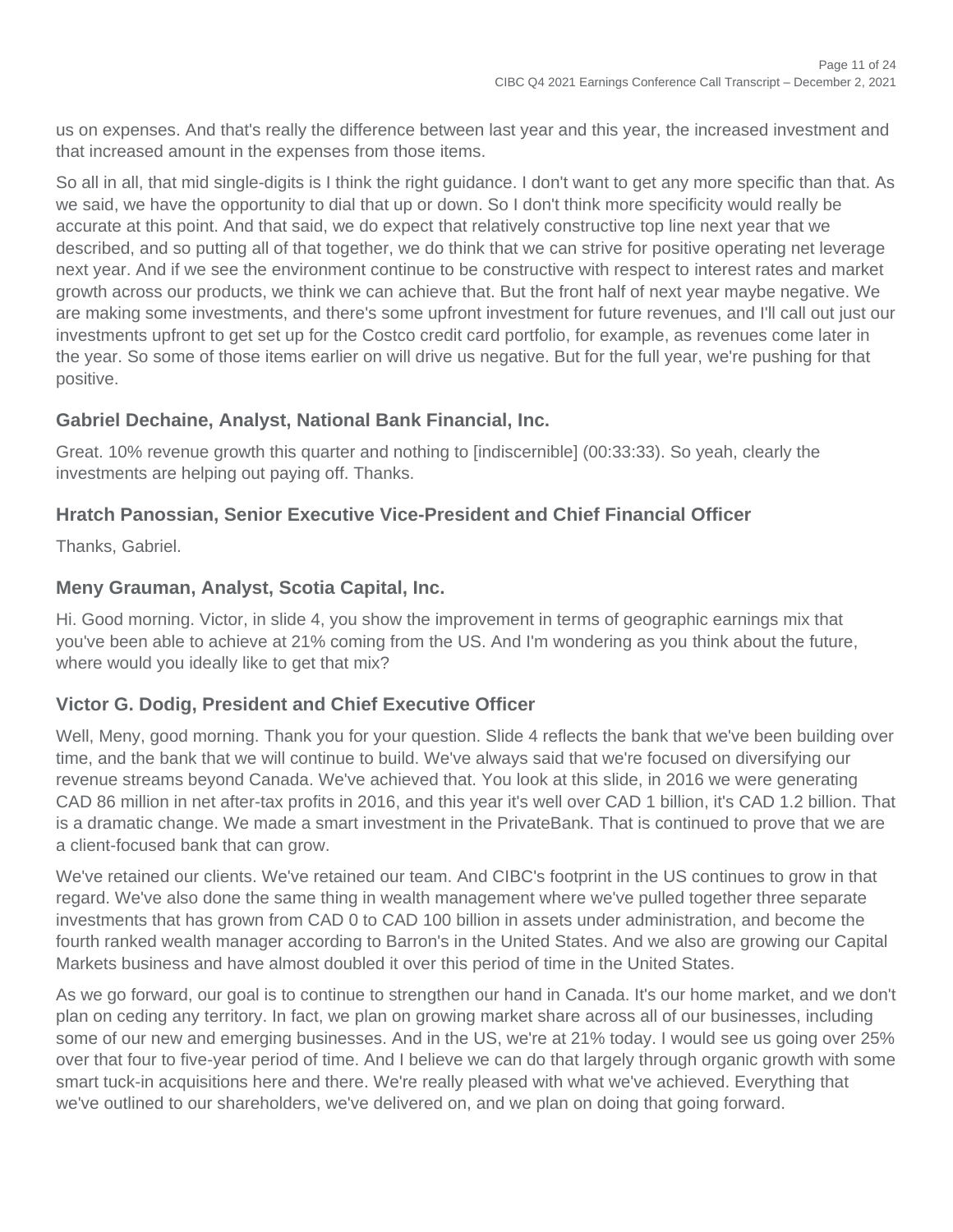us on expenses. And that's really the difference between last year and this year, the increased investment and that increased amount in the expenses from those items.

So all in all, that mid single-digits is I think the right guidance. I don't want to get any more specific than that. As we said, we have the opportunity to dial that up or down. So I don't think more specificity would really be accurate at this point. And that said, we do expect that relatively constructive top line next year that we described, and so putting all of that together, we do think that we can strive for positive operating net leverage next year. And if we see the environment continue to be constructive with respect to interest rates and market growth across our products, we think we can achieve that. But the front half of next year maybe negative. We are making some investments, and there's some upfront investment for future revenues, and I'll call out just our investments upfront to get set up for the Costco credit card portfolio, for example, as revenues come later in the year. So some of those items earlier on will drive us negative. But for the full year, we're pushing for that positive.

#### **Gabriel Dechaine, Analyst, National Bank Financial, Inc.**

Great. 10% revenue growth this quarter and nothing to [indiscernible] (00:33:33). So yeah, clearly the investments are helping out paying off. Thanks.

#### **Hratch Panossian, Senior Executive Vice-President and Chief Financial Officer**

Thanks, Gabriel.

#### **Meny Grauman, Analyst, Scotia Capital, Inc.**

Hi. Good morning. Victor, in slide 4, you show the improvement in terms of geographic earnings mix that you've been able to achieve at 21% coming from the US. And I'm wondering as you think about the future, where would you ideally like to get that mix?

### **Victor G. Dodig, President and Chief Executive Officer**

Well, Meny, good morning. Thank you for your question. Slide 4 reflects the bank that we've been building over time, and the bank that we will continue to build. We've always said that we're focused on diversifying our revenue streams beyond Canada. We've achieved that. You look at this slide, in 2016 we were generating CAD 86 million in net after-tax profits in 2016, and this year it's well over CAD 1 billion, it's CAD 1.2 billion. That is a dramatic change. We made a smart investment in the PrivateBank. That is continued to prove that we are a client-focused bank that can grow.

We've retained our clients. We've retained our team. And CIBC's footprint in the US continues to grow in that regard. We've also done the same thing in wealth management where we've pulled together three separate investments that has grown from CAD 0 to CAD 100 billion in assets under administration, and become the fourth ranked wealth manager according to Barron's in the United States. And we also are growing our Capital Markets business and have almost doubled it over this period of time in the United States.

As we go forward, our goal is to continue to strengthen our hand in Canada. It's our home market, and we don't plan on ceding any territory. In fact, we plan on growing market share across all of our businesses, including some of our new and emerging businesses. And in the US, we're at 21% today. I would see us going over 25% over that four to five-year period of time. And I believe we can do that largely through organic growth with some smart tuck-in acquisitions here and there. We're really pleased with what we've achieved. Everything that we've outlined to our shareholders, we've delivered on, and we plan on doing that going forward.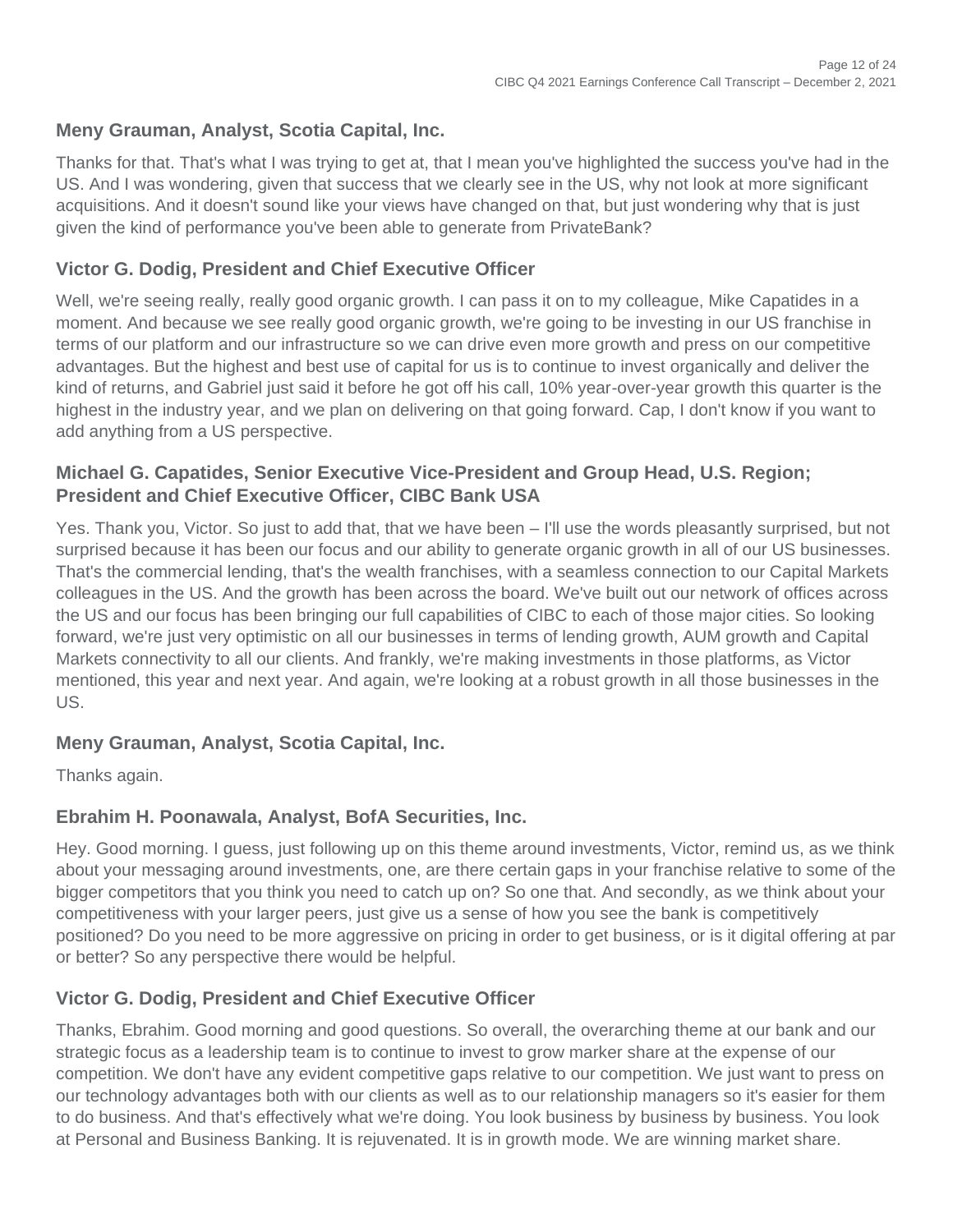### **Meny Grauman, Analyst, Scotia Capital, Inc.**

Thanks for that. That's what I was trying to get at, that I mean you've highlighted the success you've had in the US. And I was wondering, given that success that we clearly see in the US, why not look at more significant acquisitions. And it doesn't sound like your views have changed on that, but just wondering why that is just given the kind of performance you've been able to generate from PrivateBank?

### **Victor G. Dodig, President and Chief Executive Officer**

Well, we're seeing really, really good organic growth. I can pass it on to my colleague, Mike Capatides in a moment. And because we see really good organic growth, we're going to be investing in our US franchise in terms of our platform and our infrastructure so we can drive even more growth and press on our competitive advantages. But the highest and best use of capital for us is to continue to invest organically and deliver the kind of returns, and Gabriel just said it before he got off his call, 10% year-over-year growth this quarter is the highest in the industry year, and we plan on delivering on that going forward. Cap, I don't know if you want to add anything from a US perspective.

### **Michael G. Capatides, Senior Executive Vice-President and Group Head, U.S. Region; President and Chief Executive Officer, CIBC Bank USA**

Yes. Thank you, Victor. So just to add that, that we have been – I'll use the words pleasantly surprised, but not surprised because it has been our focus and our ability to generate organic growth in all of our US businesses. That's the commercial lending, that's the wealth franchises, with a seamless connection to our Capital Markets colleagues in the US. And the growth has been across the board. We've built out our network of offices across the US and our focus has been bringing our full capabilities of CIBC to each of those major cities. So looking forward, we're just very optimistic on all our businesses in terms of lending growth, AUM growth and Capital Markets connectivity to all our clients. And frankly, we're making investments in those platforms, as Victor mentioned, this year and next year. And again, we're looking at a robust growth in all those businesses in the US.

#### **Meny Grauman, Analyst, Scotia Capital, Inc.**

Thanks again.

#### **Ebrahim H. Poonawala, Analyst, BofA Securities, Inc.**

Hey. Good morning. I guess, just following up on this theme around investments, Victor, remind us, as we think about your messaging around investments, one, are there certain gaps in your franchise relative to some of the bigger competitors that you think you need to catch up on? So one that. And secondly, as we think about your competitiveness with your larger peers, just give us a sense of how you see the bank is competitively positioned? Do you need to be more aggressive on pricing in order to get business, or is it digital offering at par or better? So any perspective there would be helpful.

### **Victor G. Dodig, President and Chief Executive Officer**

Thanks, Ebrahim. Good morning and good questions. So overall, the overarching theme at our bank and our strategic focus as a leadership team is to continue to invest to grow marker share at the expense of our competition. We don't have any evident competitive gaps relative to our competition. We just want to press on our technology advantages both with our clients as well as to our relationship managers so it's easier for them to do business. And that's effectively what we're doing. You look business by business by business. You look at Personal and Business Banking. It is rejuvenated. It is in growth mode. We are winning market share.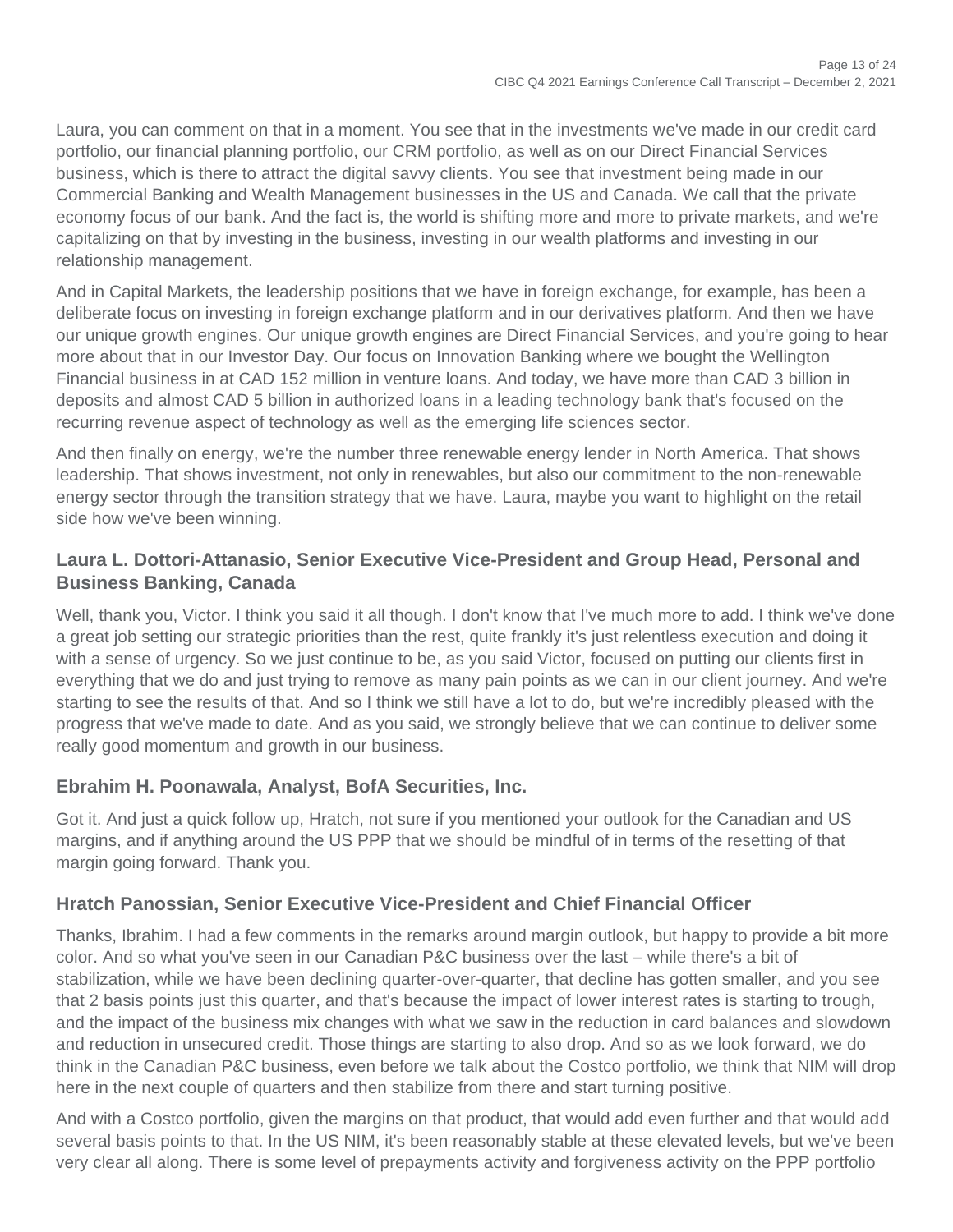Laura, you can comment on that in a moment. You see that in the investments we've made in our credit card portfolio, our financial planning portfolio, our CRM portfolio, as well as on our Direct Financial Services business, which is there to attract the digital savvy clients. You see that investment being made in our Commercial Banking and Wealth Management businesses in the US and Canada. We call that the private economy focus of our bank. And the fact is, the world is shifting more and more to private markets, and we're capitalizing on that by investing in the business, investing in our wealth platforms and investing in our relationship management.

And in Capital Markets, the leadership positions that we have in foreign exchange, for example, has been a deliberate focus on investing in foreign exchange platform and in our derivatives platform. And then we have our unique growth engines. Our unique growth engines are Direct Financial Services, and you're going to hear more about that in our Investor Day. Our focus on Innovation Banking where we bought the Wellington Financial business in at CAD 152 million in venture loans. And today, we have more than CAD 3 billion in deposits and almost CAD 5 billion in authorized loans in a leading technology bank that's focused on the recurring revenue aspect of technology as well as the emerging life sciences sector.

And then finally on energy, we're the number three renewable energy lender in North America. That shows leadership. That shows investment, not only in renewables, but also our commitment to the non-renewable energy sector through the transition strategy that we have. Laura, maybe you want to highlight on the retail side how we've been winning.

### **Laura L. Dottori-Attanasio, Senior Executive Vice-President and Group Head, Personal and Business Banking, Canada**

Well, thank you, Victor. I think you said it all though. I don't know that I've much more to add. I think we've done a great job setting our strategic priorities than the rest, quite frankly it's just relentless execution and doing it with a sense of urgency. So we just continue to be, as you said Victor, focused on putting our clients first in everything that we do and just trying to remove as many pain points as we can in our client journey. And we're starting to see the results of that. And so I think we still have a lot to do, but we're incredibly pleased with the progress that we've made to date. And as you said, we strongly believe that we can continue to deliver some really good momentum and growth in our business.

### **Ebrahim H. Poonawala, Analyst, BofA Securities, Inc.**

Got it. And just a quick follow up, Hratch, not sure if you mentioned your outlook for the Canadian and US margins, and if anything around the US PPP that we should be mindful of in terms of the resetting of that margin going forward. Thank you.

### **Hratch Panossian, Senior Executive Vice-President and Chief Financial Officer**

Thanks, Ibrahim. I had a few comments in the remarks around margin outlook, but happy to provide a bit more color. And so what you've seen in our Canadian P&C business over the last – while there's a bit of stabilization, while we have been declining quarter-over-quarter, that decline has gotten smaller, and you see that 2 basis points just this quarter, and that's because the impact of lower interest rates is starting to trough, and the impact of the business mix changes with what we saw in the reduction in card balances and slowdown and reduction in unsecured credit. Those things are starting to also drop. And so as we look forward, we do think in the Canadian P&C business, even before we talk about the Costco portfolio, we think that NIM will drop here in the next couple of quarters and then stabilize from there and start turning positive.

And with a Costco portfolio, given the margins on that product, that would add even further and that would add several basis points to that. In the US NIM, it's been reasonably stable at these elevated levels, but we've been very clear all along. There is some level of prepayments activity and forgiveness activity on the PPP portfolio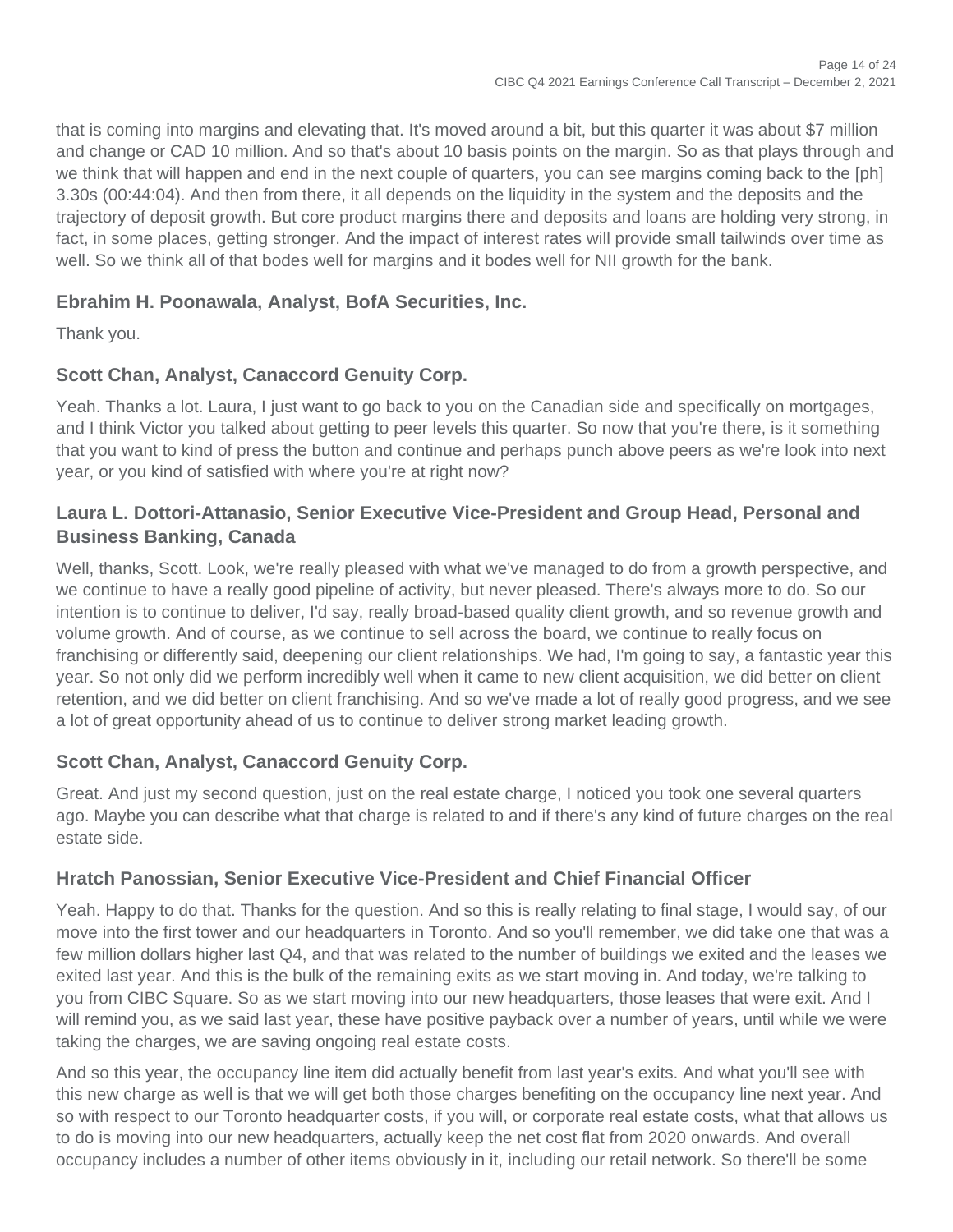that is coming into margins and elevating that. It's moved around a bit, but this quarter it was about \$7 million and change or CAD 10 million. And so that's about 10 basis points on the margin. So as that plays through and we think that will happen and end in the next couple of quarters, you can see margins coming back to the [ph] 3.30s (00:44:04). And then from there, it all depends on the liquidity in the system and the deposits and the trajectory of deposit growth. But core product margins there and deposits and loans are holding very strong, in fact, in some places, getting stronger. And the impact of interest rates will provide small tailwinds over time as well. So we think all of that bodes well for margins and it bodes well for NII growth for the bank.

### **Ebrahim H. Poonawala, Analyst, BofA Securities, Inc.**

Thank you.

### **Scott Chan, Analyst, Canaccord Genuity Corp.**

Yeah. Thanks a lot. Laura, I just want to go back to you on the Canadian side and specifically on mortgages, and I think Victor you talked about getting to peer levels this quarter. So now that you're there, is it something that you want to kind of press the button and continue and perhaps punch above peers as we're look into next year, or you kind of satisfied with where you're at right now?

### **Laura L. Dottori-Attanasio, Senior Executive Vice-President and Group Head, Personal and Business Banking, Canada**

Well, thanks, Scott. Look, we're really pleased with what we've managed to do from a growth perspective, and we continue to have a really good pipeline of activity, but never pleased. There's always more to do. So our intention is to continue to deliver, I'd say, really broad-based quality client growth, and so revenue growth and volume growth. And of course, as we continue to sell across the board, we continue to really focus on franchising or differently said, deepening our client relationships. We had, I'm going to say, a fantastic year this year. So not only did we perform incredibly well when it came to new client acquisition, we did better on client retention, and we did better on client franchising. And so we've made a lot of really good progress, and we see a lot of great opportunity ahead of us to continue to deliver strong market leading growth.

### **Scott Chan, Analyst, Canaccord Genuity Corp.**

Great. And just my second question, just on the real estate charge, I noticed you took one several quarters ago. Maybe you can describe what that charge is related to and if there's any kind of future charges on the real estate side.

### **Hratch Panossian, Senior Executive Vice-President and Chief Financial Officer**

Yeah. Happy to do that. Thanks for the question. And so this is really relating to final stage, I would say, of our move into the first tower and our headquarters in Toronto. And so you'll remember, we did take one that was a few million dollars higher last Q4, and that was related to the number of buildings we exited and the leases we exited last year. And this is the bulk of the remaining exits as we start moving in. And today, we're talking to you from CIBC Square. So as we start moving into our new headquarters, those leases that were exit. And I will remind you, as we said last year, these have positive payback over a number of years, until while we were taking the charges, we are saving ongoing real estate costs.

And so this year, the occupancy line item did actually benefit from last year's exits. And what you'll see with this new charge as well is that we will get both those charges benefiting on the occupancy line next year. And so with respect to our Toronto headquarter costs, if you will, or corporate real estate costs, what that allows us to do is moving into our new headquarters, actually keep the net cost flat from 2020 onwards. And overall occupancy includes a number of other items obviously in it, including our retail network. So there'll be some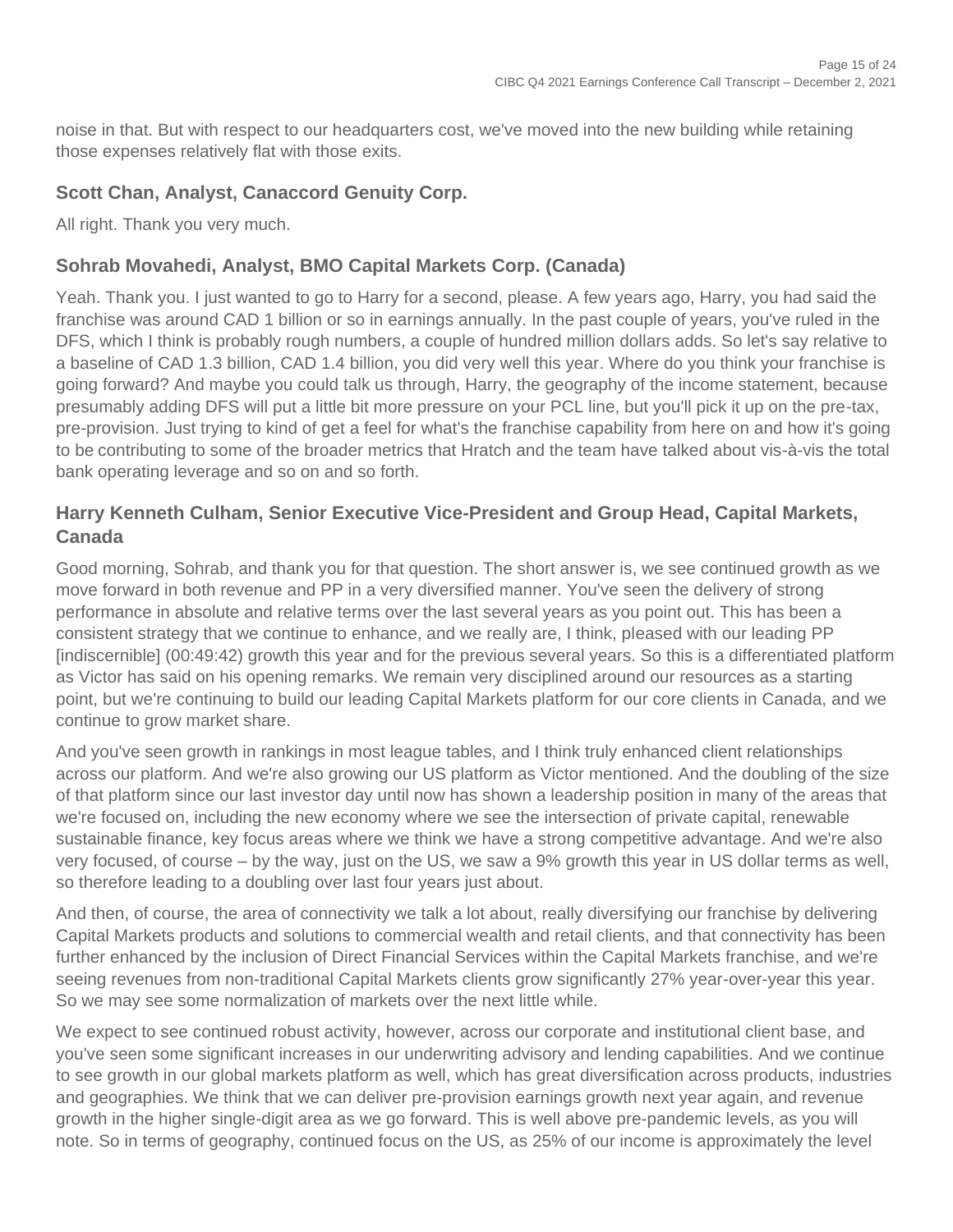noise in that. But with respect to our headquarters cost, we've moved into the new building while retaining those expenses relatively flat with those exits.

### **Scott Chan, Analyst, Canaccord Genuity Corp.**

All right. Thank you very much.

### **Sohrab Movahedi, Analyst, BMO Capital Markets Corp. (Canada)**

Yeah. Thank you. I just wanted to go to Harry for a second, please. A few years ago, Harry, you had said the franchise was around CAD 1 billion or so in earnings annually. In the past couple of years, you've ruled in the DFS, which I think is probably rough numbers, a couple of hundred million dollars adds. So let's say relative to a baseline of CAD 1.3 billion, CAD 1.4 billion, you did very well this year. Where do you think your franchise is going forward? And maybe you could talk us through, Harry, the geography of the income statement, because presumably adding DFS will put a little bit more pressure on your PCL line, but you'll pick it up on the pre-tax, pre-provision. Just trying to kind of get a feel for what's the franchise capability from here on and how it's going to be contributing to some of the broader metrics that Hratch and the team have talked about vis-à-vis the total bank operating leverage and so on and so forth.

### **Harry Kenneth Culham, Senior Executive Vice-President and Group Head, Capital Markets, Canada**

Good morning, Sohrab, and thank you for that question. The short answer is, we see continued growth as we move forward in both revenue and PP in a very diversified manner. You've seen the delivery of strong performance in absolute and relative terms over the last several years as you point out. This has been a consistent strategy that we continue to enhance, and we really are, I think, pleased with our leading PP [indiscernible] (00:49:42) growth this year and for the previous several years. So this is a differentiated platform as Victor has said on his opening remarks. We remain very disciplined around our resources as a starting point, but we're continuing to build our leading Capital Markets platform for our core clients in Canada, and we continue to grow market share.

And you've seen growth in rankings in most league tables, and I think truly enhanced client relationships across our platform. And we're also growing our US platform as Victor mentioned. And the doubling of the size of that platform since our last investor day until now has shown a leadership position in many of the areas that we're focused on, including the new economy where we see the intersection of private capital, renewable sustainable finance, key focus areas where we think we have a strong competitive advantage. And we're also very focused, of course – by the way, just on the US, we saw a 9% growth this year in US dollar terms as well, so therefore leading to a doubling over last four years just about.

And then, of course, the area of connectivity we talk a lot about, really diversifying our franchise by delivering Capital Markets products and solutions to commercial wealth and retail clients, and that connectivity has been further enhanced by the inclusion of Direct Financial Services within the Capital Markets franchise, and we're seeing revenues from non-traditional Capital Markets clients grow significantly 27% year-over-year this year. So we may see some normalization of markets over the next little while.

We expect to see continued robust activity, however, across our corporate and institutional client base, and you've seen some significant increases in our underwriting advisory and lending capabilities. And we continue to see growth in our global markets platform as well, which has great diversification across products, industries and geographies. We think that we can deliver pre-provision earnings growth next year again, and revenue growth in the higher single-digit area as we go forward. This is well above pre-pandemic levels, as you will note. So in terms of geography, continued focus on the US, as 25% of our income is approximately the level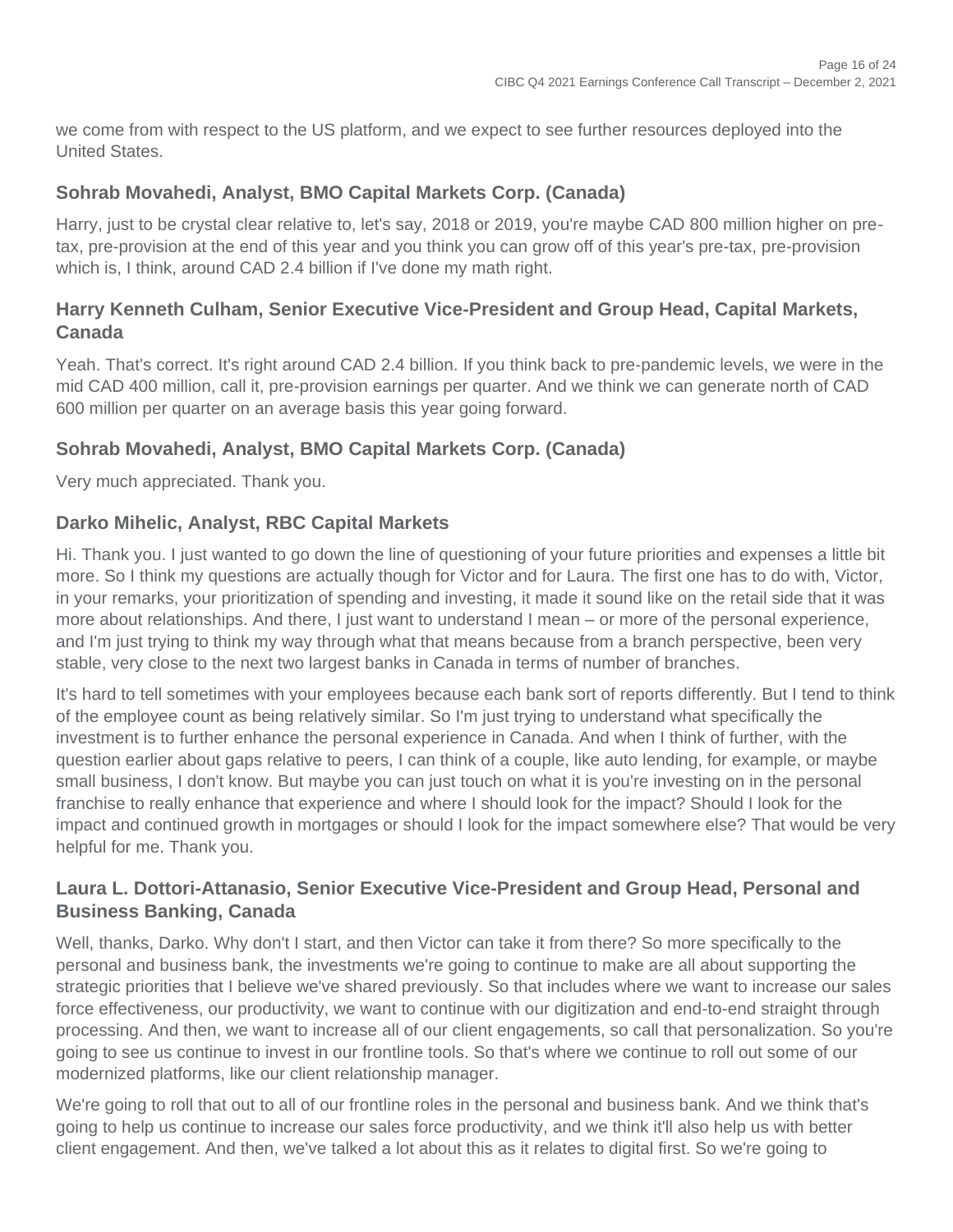we come from with respect to the US platform, and we expect to see further resources deployed into the United States.

### **Sohrab Movahedi, Analyst, BMO Capital Markets Corp. (Canada)**

Harry, just to be crystal clear relative to, let's say, 2018 or 2019, you're maybe CAD 800 million higher on pretax, pre-provision at the end of this year and you think you can grow off of this year's pre-tax, pre-provision which is, I think, around CAD 2.4 billion if I've done my math right.

### **Harry Kenneth Culham, Senior Executive Vice-President and Group Head, Capital Markets, Canada**

Yeah. That's correct. It's right around CAD 2.4 billion. If you think back to pre-pandemic levels, we were in the mid CAD 400 million, call it, pre-provision earnings per quarter. And we think we can generate north of CAD 600 million per quarter on an average basis this year going forward.

#### **Sohrab Movahedi, Analyst, BMO Capital Markets Corp. (Canada)**

Very much appreciated. Thank you.

#### **Darko Mihelic, Analyst, RBC Capital Markets**

Hi. Thank you. I just wanted to go down the line of questioning of your future priorities and expenses a little bit more. So I think my questions are actually though for Victor and for Laura. The first one has to do with, Victor, in your remarks, your prioritization of spending and investing, it made it sound like on the retail side that it was more about relationships. And there, I just want to understand I mean – or more of the personal experience, and I'm just trying to think my way through what that means because from a branch perspective, been very stable, very close to the next two largest banks in Canada in terms of number of branches.

It's hard to tell sometimes with your employees because each bank sort of reports differently. But I tend to think of the employee count as being relatively similar. So I'm just trying to understand what specifically the investment is to further enhance the personal experience in Canada. And when I think of further, with the question earlier about gaps relative to peers, I can think of a couple, like auto lending, for example, or maybe small business, I don't know. But maybe you can just touch on what it is you're investing on in the personal franchise to really enhance that experience and where I should look for the impact? Should I look for the impact and continued growth in mortgages or should I look for the impact somewhere else? That would be very helpful for me. Thank you.

### **Laura L. Dottori-Attanasio, Senior Executive Vice-President and Group Head, Personal and Business Banking, Canada**

Well, thanks, Darko. Why don't I start, and then Victor can take it from there? So more specifically to the personal and business bank, the investments we're going to continue to make are all about supporting the strategic priorities that I believe we've shared previously. So that includes where we want to increase our sales force effectiveness, our productivity, we want to continue with our digitization and end-to-end straight through processing. And then, we want to increase all of our client engagements, so call that personalization. So you're going to see us continue to invest in our frontline tools. So that's where we continue to roll out some of our modernized platforms, like our client relationship manager.

We're going to roll that out to all of our frontline roles in the personal and business bank. And we think that's going to help us continue to increase our sales force productivity, and we think it'll also help us with better client engagement. And then, we've talked a lot about this as it relates to digital first. So we're going to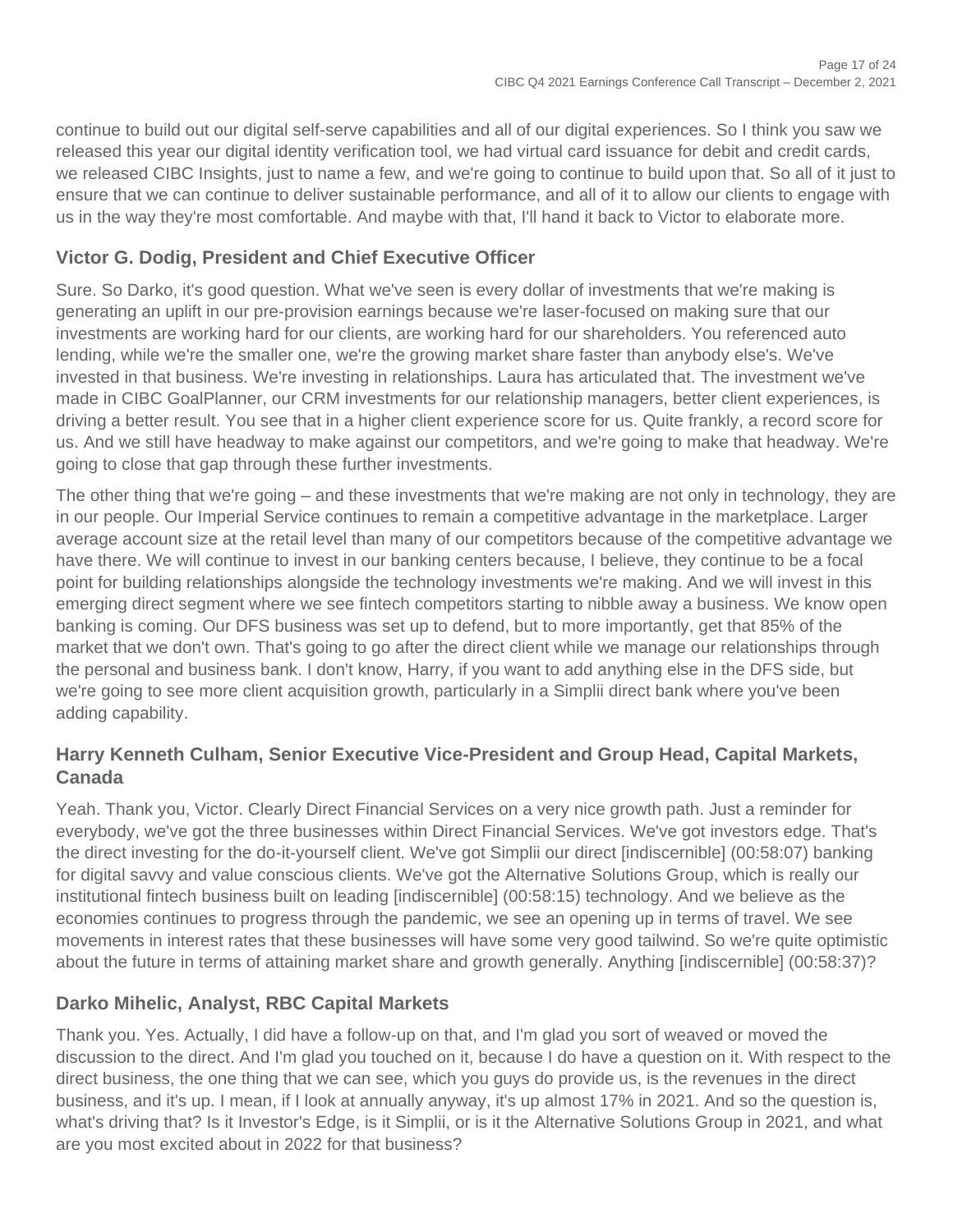continue to build out our digital self-serve capabilities and all of our digital experiences. So I think you saw we released this year our digital identity verification tool, we had virtual card issuance for debit and credit cards, we released CIBC Insights, just to name a few, and we're going to continue to build upon that. So all of it just to ensure that we can continue to deliver sustainable performance, and all of it to allow our clients to engage with us in the way they're most comfortable. And maybe with that, I'll hand it back to Victor to elaborate more.

### **Victor G. Dodig, President and Chief Executive Officer**

Sure. So Darko, it's good question. What we've seen is every dollar of investments that we're making is generating an uplift in our pre-provision earnings because we're laser-focused on making sure that our investments are working hard for our clients, are working hard for our shareholders. You referenced auto lending, while we're the smaller one, we're the growing market share faster than anybody else's. We've invested in that business. We're investing in relationships. Laura has articulated that. The investment we've made in CIBC GoalPlanner, our CRM investments for our relationship managers, better client experiences, is driving a better result. You see that in a higher client experience score for us. Quite frankly, a record score for us. And we still have headway to make against our competitors, and we're going to make that headway. We're going to close that gap through these further investments.

The other thing that we're going – and these investments that we're making are not only in technology, they are in our people. Our Imperial Service continues to remain a competitive advantage in the marketplace. Larger average account size at the retail level than many of our competitors because of the competitive advantage we have there. We will continue to invest in our banking centers because, I believe, they continue to be a focal point for building relationships alongside the technology investments we're making. And we will invest in this emerging direct segment where we see fintech competitors starting to nibble away a business. We know open banking is coming. Our DFS business was set up to defend, but to more importantly, get that 85% of the market that we don't own. That's going to go after the direct client while we manage our relationships through the personal and business bank. I don't know, Harry, if you want to add anything else in the DFS side, but we're going to see more client acquisition growth, particularly in a Simplii direct bank where you've been adding capability.

### **Harry Kenneth Culham, Senior Executive Vice-President and Group Head, Capital Markets, Canada**

Yeah. Thank you, Victor. Clearly Direct Financial Services on a very nice growth path. Just a reminder for everybody, we've got the three businesses within Direct Financial Services. We've got investors edge. That's the direct investing for the do-it-yourself client. We've got Simplii our direct [indiscernible] (00:58:07) banking for digital savvy and value conscious clients. We've got the Alternative Solutions Group, which is really our institutional fintech business built on leading [indiscernible] (00:58:15) technology. And we believe as the economies continues to progress through the pandemic, we see an opening up in terms of travel. We see movements in interest rates that these businesses will have some very good tailwind. So we're quite optimistic about the future in terms of attaining market share and growth generally. Anything [indiscernible] (00:58:37)?

### **Darko Mihelic, Analyst, RBC Capital Markets**

Thank you. Yes. Actually, I did have a follow-up on that, and I'm glad you sort of weaved or moved the discussion to the direct. And I'm glad you touched on it, because I do have a question on it. With respect to the direct business, the one thing that we can see, which you guys do provide us, is the revenues in the direct business, and it's up. I mean, if I look at annually anyway, it's up almost 17% in 2021. And so the question is, what's driving that? Is it Investor's Edge, is it Simplii, or is it the Alternative Solutions Group in 2021, and what are you most excited about in 2022 for that business?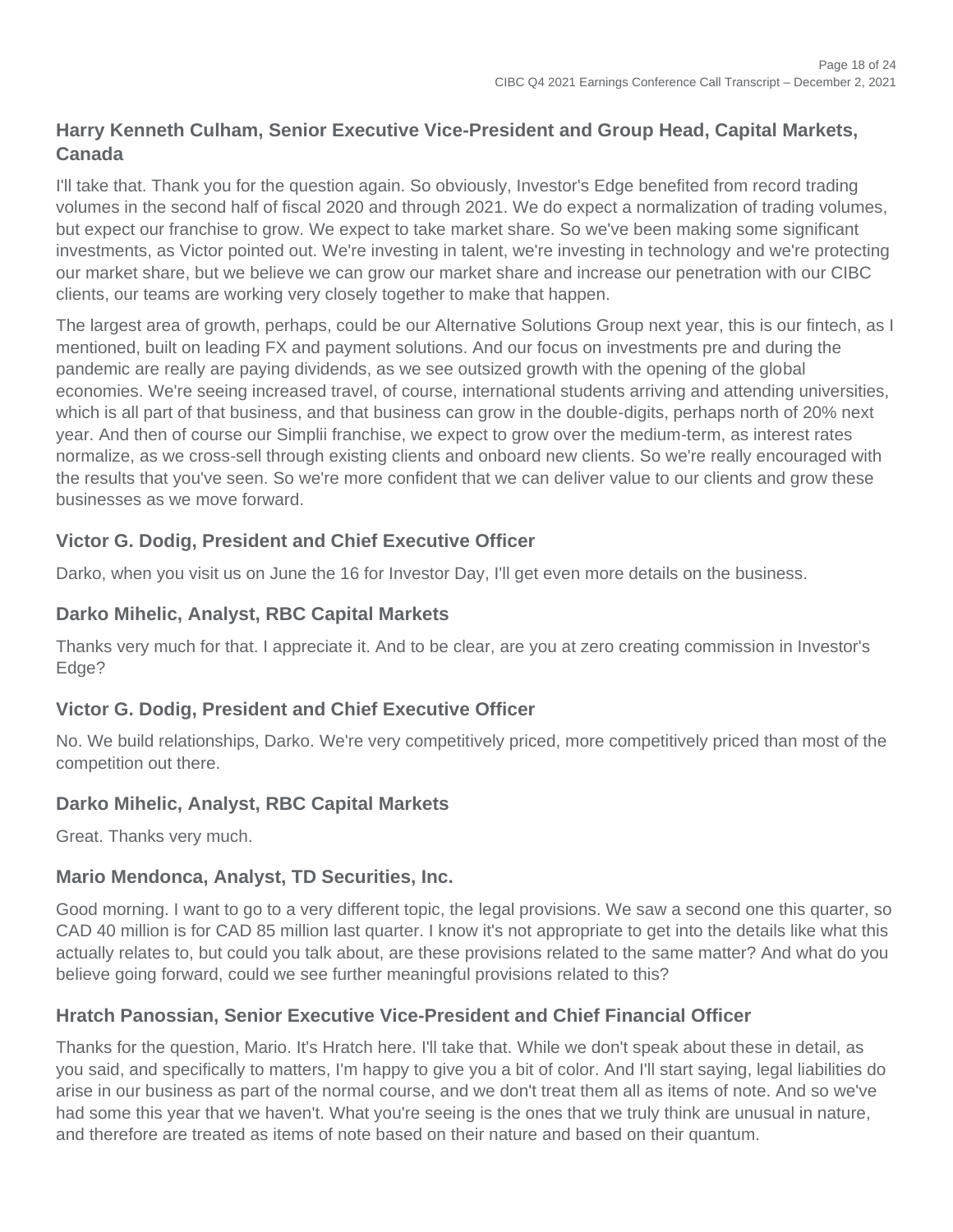### **Harry Kenneth Culham, Senior Executive Vice-President and Group Head, Capital Markets, Canada**

I'll take that. Thank you for the question again. So obviously, Investor's Edge benefited from record trading volumes in the second half of fiscal 2020 and through 2021. We do expect a normalization of trading volumes, but expect our franchise to grow. We expect to take market share. So we've been making some significant investments, as Victor pointed out. We're investing in talent, we're investing in technology and we're protecting our market share, but we believe we can grow our market share and increase our penetration with our CIBC clients, our teams are working very closely together to make that happen.

The largest area of growth, perhaps, could be our Alternative Solutions Group next year, this is our fintech, as I mentioned, built on leading FX and payment solutions. And our focus on investments pre and during the pandemic are really are paying dividends, as we see outsized growth with the opening of the global economies. We're seeing increased travel, of course, international students arriving and attending universities, which is all part of that business, and that business can grow in the double-digits, perhaps north of 20% next year. And then of course our Simplii franchise, we expect to grow over the medium-term, as interest rates normalize, as we cross-sell through existing clients and onboard new clients. So we're really encouraged with the results that you've seen. So we're more confident that we can deliver value to our clients and grow these businesses as we move forward.

### **Victor G. Dodig, President and Chief Executive Officer**

Darko, when you visit us on June the 16 for Investor Day, I'll get even more details on the business.

### **Darko Mihelic, Analyst, RBC Capital Markets**

Thanks very much for that. I appreciate it. And to be clear, are you at zero creating commission in Investor's Edge?

### **Victor G. Dodig, President and Chief Executive Officer**

No. We build relationships, Darko. We're very competitively priced, more competitively priced than most of the competition out there.

### **Darko Mihelic, Analyst, RBC Capital Markets**

Great. Thanks very much.

### **Mario Mendonca, Analyst, TD Securities, Inc.**

Good morning. I want to go to a very different topic, the legal provisions. We saw a second one this quarter, so CAD 40 million is for CAD 85 million last quarter. I know it's not appropriate to get into the details like what this actually relates to, but could you talk about, are these provisions related to the same matter? And what do you believe going forward, could we see further meaningful provisions related to this?

### **Hratch Panossian, Senior Executive Vice-President and Chief Financial Officer**

Thanks for the question, Mario. It's Hratch here. I'll take that. While we don't speak about these in detail, as you said, and specifically to matters, I'm happy to give you a bit of color. And I'll start saying, legal liabilities do arise in our business as part of the normal course, and we don't treat them all as items of note. And so we've had some this year that we haven't. What you're seeing is the ones that we truly think are unusual in nature, and therefore are treated as items of note based on their nature and based on their quantum.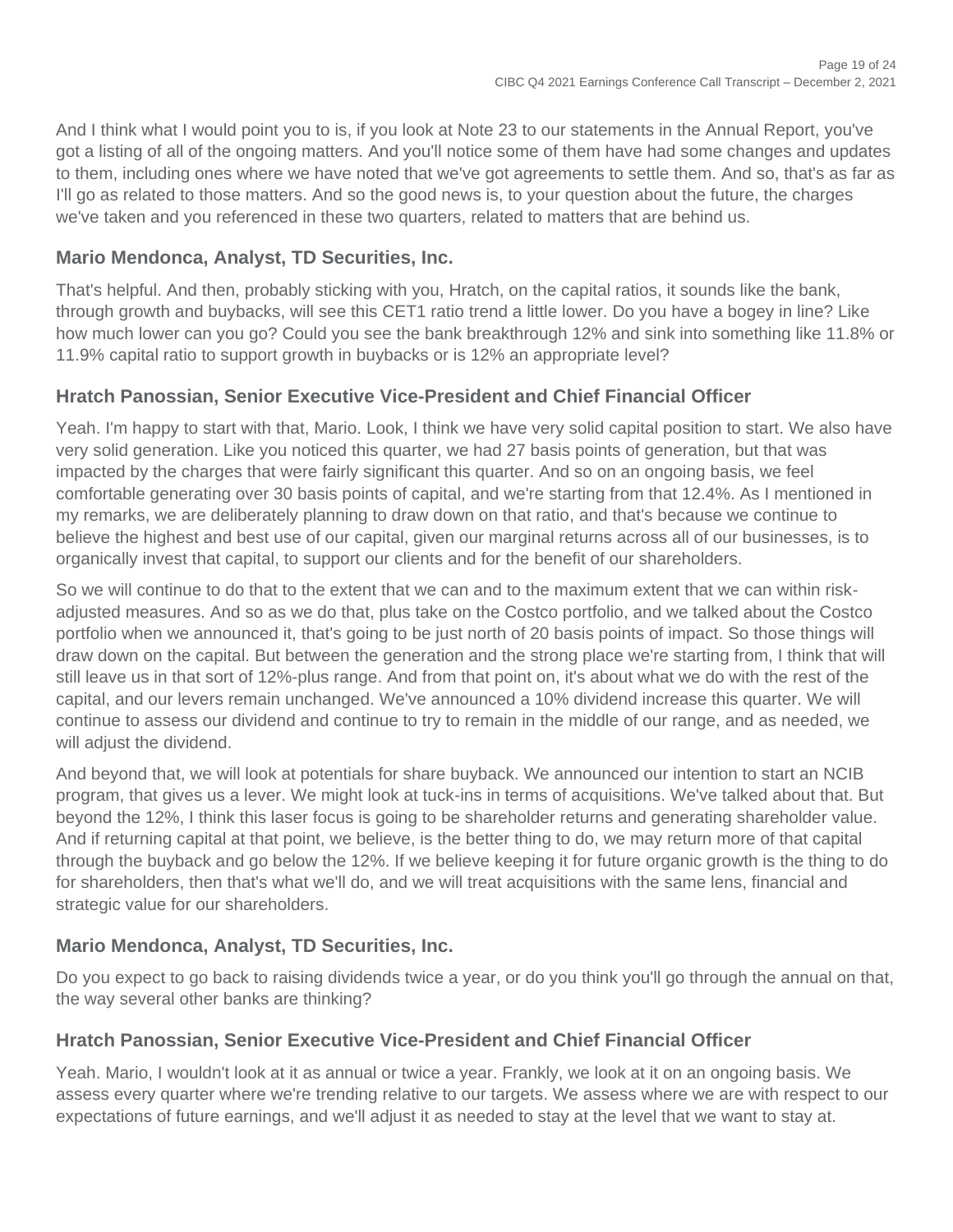And I think what I would point you to is, if you look at Note 23 to our statements in the Annual Report, you've got a listing of all of the ongoing matters. And you'll notice some of them have had some changes and updates to them, including ones where we have noted that we've got agreements to settle them. And so, that's as far as I'll go as related to those matters. And so the good news is, to your question about the future, the charges we've taken and you referenced in these two quarters, related to matters that are behind us.

### **Mario Mendonca, Analyst, TD Securities, Inc.**

That's helpful. And then, probably sticking with you, Hratch, on the capital ratios, it sounds like the bank, through growth and buybacks, will see this CET1 ratio trend a little lower. Do you have a bogey in line? Like how much lower can you go? Could you see the bank breakthrough 12% and sink into something like 11.8% or 11.9% capital ratio to support growth in buybacks or is 12% an appropriate level?

#### **Hratch Panossian, Senior Executive Vice-President and Chief Financial Officer**

Yeah. I'm happy to start with that, Mario. Look, I think we have very solid capital position to start. We also have very solid generation. Like you noticed this quarter, we had 27 basis points of generation, but that was impacted by the charges that were fairly significant this quarter. And so on an ongoing basis, we feel comfortable generating over 30 basis points of capital, and we're starting from that 12.4%. As I mentioned in my remarks, we are deliberately planning to draw down on that ratio, and that's because we continue to believe the highest and best use of our capital, given our marginal returns across all of our businesses, is to organically invest that capital, to support our clients and for the benefit of our shareholders.

So we will continue to do that to the extent that we can and to the maximum extent that we can within riskadjusted measures. And so as we do that, plus take on the Costco portfolio, and we talked about the Costco portfolio when we announced it, that's going to be just north of 20 basis points of impact. So those things will draw down on the capital. But between the generation and the strong place we're starting from, I think that will still leave us in that sort of 12%-plus range. And from that point on, it's about what we do with the rest of the capital, and our levers remain unchanged. We've announced a 10% dividend increase this quarter. We will continue to assess our dividend and continue to try to remain in the middle of our range, and as needed, we will adjust the dividend.

And beyond that, we will look at potentials for share buyback. We announced our intention to start an NCIB program, that gives us a lever. We might look at tuck-ins in terms of acquisitions. We've talked about that. But beyond the 12%, I think this laser focus is going to be shareholder returns and generating shareholder value. And if returning capital at that point, we believe, is the better thing to do, we may return more of that capital through the buyback and go below the 12%. If we believe keeping it for future organic growth is the thing to do for shareholders, then that's what we'll do, and we will treat acquisitions with the same lens, financial and strategic value for our shareholders.

#### **Mario Mendonca, Analyst, TD Securities, Inc.**

Do you expect to go back to raising dividends twice a year, or do you think you'll go through the annual on that, the way several other banks are thinking?

### **Hratch Panossian, Senior Executive Vice-President and Chief Financial Officer**

Yeah. Mario, I wouldn't look at it as annual or twice a year. Frankly, we look at it on an ongoing basis. We assess every quarter where we're trending relative to our targets. We assess where we are with respect to our expectations of future earnings, and we'll adjust it as needed to stay at the level that we want to stay at.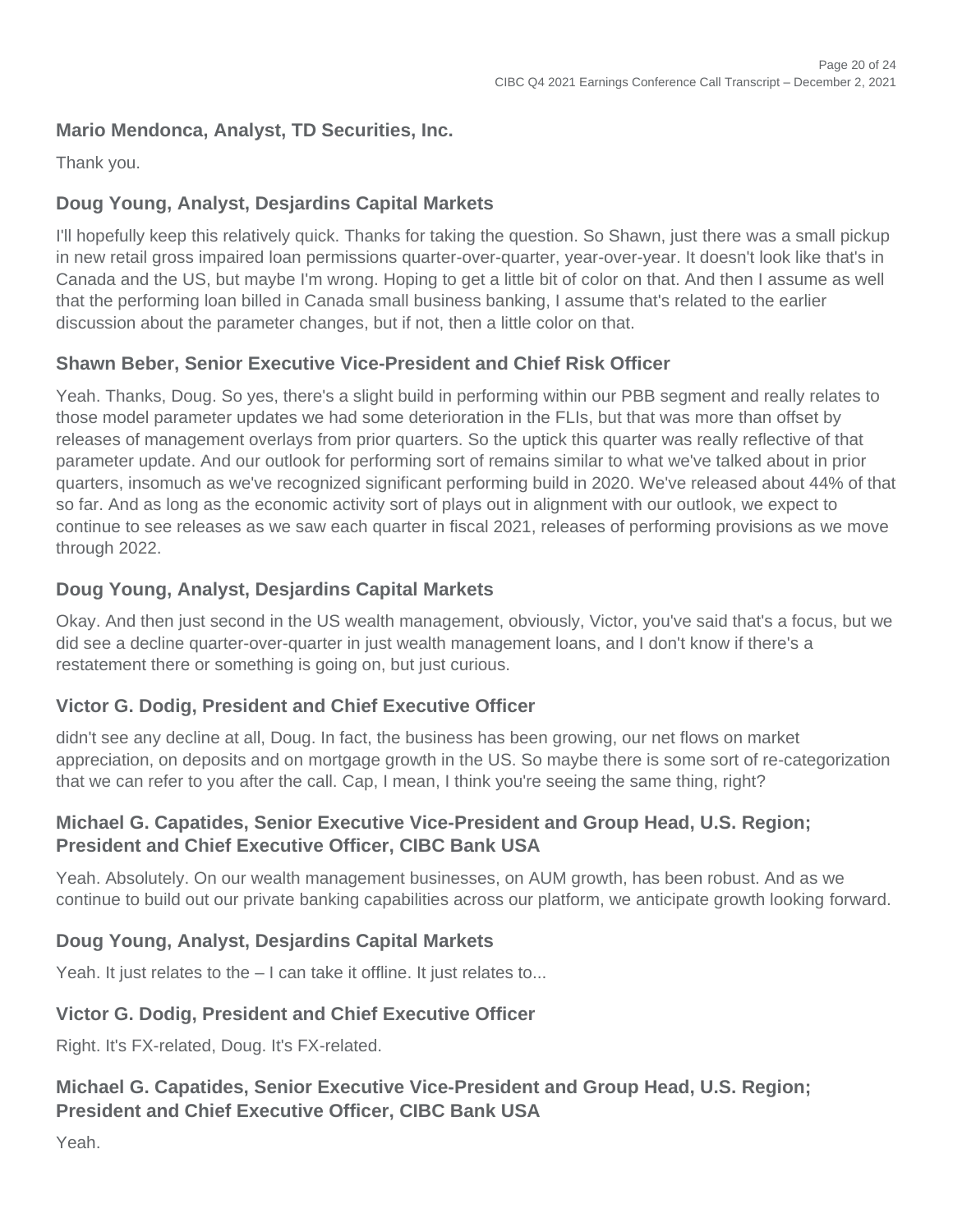### **Mario Mendonca, Analyst, TD Securities, Inc.**

Thank you.

### **Doug Young, Analyst, Desjardins Capital Markets**

I'll hopefully keep this relatively quick. Thanks for taking the question. So Shawn, just there was a small pickup in new retail gross impaired loan permissions quarter-over-quarter, year-over-year. It doesn't look like that's in Canada and the US, but maybe I'm wrong. Hoping to get a little bit of color on that. And then I assume as well that the performing loan billed in Canada small business banking, I assume that's related to the earlier discussion about the parameter changes, but if not, then a little color on that.

### **Shawn Beber, Senior Executive Vice-President and Chief Risk Officer**

Yeah. Thanks, Doug. So yes, there's a slight build in performing within our PBB segment and really relates to those model parameter updates we had some deterioration in the FLIs, but that was more than offset by releases of management overlays from prior quarters. So the uptick this quarter was really reflective of that parameter update. And our outlook for performing sort of remains similar to what we've talked about in prior quarters, insomuch as we've recognized significant performing build in 2020. We've released about 44% of that so far. And as long as the economic activity sort of plays out in alignment with our outlook, we expect to continue to see releases as we saw each quarter in fiscal 2021, releases of performing provisions as we move through 2022.

### **Doug Young, Analyst, Desjardins Capital Markets**

Okay. And then just second in the US wealth management, obviously, Victor, you've said that's a focus, but we did see a decline quarter-over-quarter in just wealth management loans, and I don't know if there's a restatement there or something is going on, but just curious.

### **Victor G. Dodig, President and Chief Executive Officer**

didn't see any decline at all, Doug. In fact, the business has been growing, our net flows on market appreciation, on deposits and on mortgage growth in the US. So maybe there is some sort of re-categorization that we can refer to you after the call. Cap, I mean, I think you're seeing the same thing, right?

### **Michael G. Capatides, Senior Executive Vice-President and Group Head, U.S. Region; President and Chief Executive Officer, CIBC Bank USA**

Yeah. Absolutely. On our wealth management businesses, on AUM growth, has been robust. And as we continue to build out our private banking capabilities across our platform, we anticipate growth looking forward.

### **Doug Young, Analyst, Desjardins Capital Markets**

Yeah. It just relates to the  $-1$  can take it offline. It just relates to...

### **Victor G. Dodig, President and Chief Executive Officer**

Right. It's FX-related, Doug. It's FX-related.

### **Michael G. Capatides, Senior Executive Vice-President and Group Head, U.S. Region; President and Chief Executive Officer, CIBC Bank USA**

Yeah.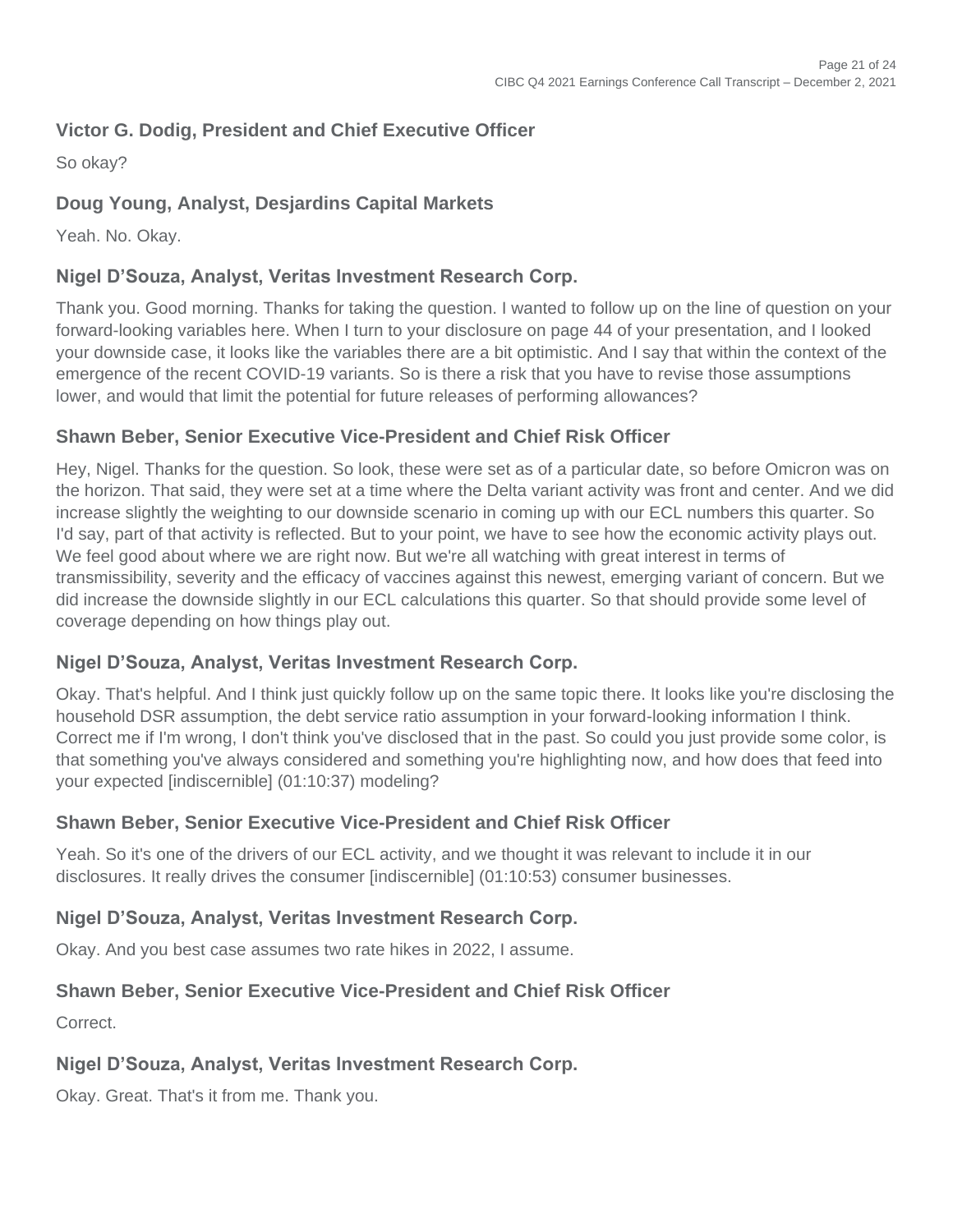### **Victor G. Dodig, President and Chief Executive Officer**

So okay?

### **Doug Young, Analyst, Desjardins Capital Markets**

Yeah. No. Okay.

### **Nigel D'Souza, Analyst, Veritas Investment Research Corp.**

Thank you. Good morning. Thanks for taking the question. I wanted to follow up on the line of question on your forward-looking variables here. When I turn to your disclosure on page 44 of your presentation, and I looked your downside case, it looks like the variables there are a bit optimistic. And I say that within the context of the emergence of the recent COVID-19 variants. So is there a risk that you have to revise those assumptions lower, and would that limit the potential for future releases of performing allowances?

### **Shawn Beber, Senior Executive Vice-President and Chief Risk Officer**

Hey, Nigel. Thanks for the question. So look, these were set as of a particular date, so before Omicron was on the horizon. That said, they were set at a time where the Delta variant activity was front and center. And we did increase slightly the weighting to our downside scenario in coming up with our ECL numbers this quarter. So I'd say, part of that activity is reflected. But to your point, we have to see how the economic activity plays out. We feel good about where we are right now. But we're all watching with great interest in terms of transmissibility, severity and the efficacy of vaccines against this newest, emerging variant of concern. But we did increase the downside slightly in our ECL calculations this quarter. So that should provide some level of coverage depending on how things play out.

#### **Nigel D'Souza, Analyst, Veritas Investment Research Corp.**

Okay. That's helpful. And I think just quickly follow up on the same topic there. It looks like you're disclosing the household DSR assumption, the debt service ratio assumption in your forward-looking information I think. Correct me if I'm wrong, I don't think you've disclosed that in the past. So could you just provide some color, is that something you've always considered and something you're highlighting now, and how does that feed into your expected [indiscernible] (01:10:37) modeling?

### **Shawn Beber, Senior Executive Vice-President and Chief Risk Officer**

Yeah. So it's one of the drivers of our ECL activity, and we thought it was relevant to include it in our disclosures. It really drives the consumer [indiscernible] (01:10:53) consumer businesses.

### **Nigel D'Souza, Analyst, Veritas Investment Research Corp.**

Okay. And you best case assumes two rate hikes in 2022, I assume.

### **Shawn Beber, Senior Executive Vice-President and Chief Risk Officer**

Correct.

### **Nigel D'Souza, Analyst, Veritas Investment Research Corp.**

Okay. Great. That's it from me. Thank you.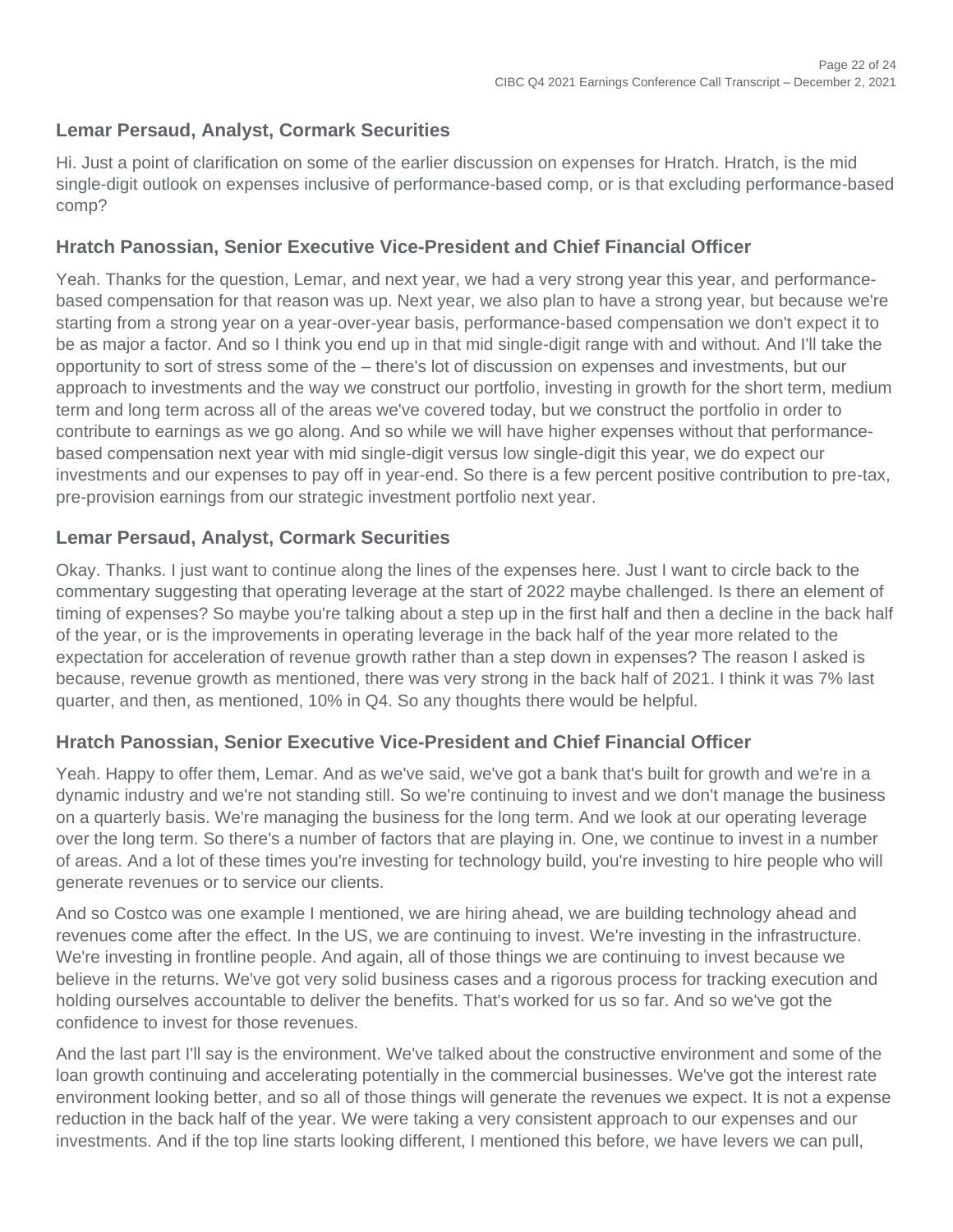### **Lemar Persaud, Analyst, Cormark Securities**

Hi. Just a point of clarification on some of the earlier discussion on expenses for Hratch. Hratch, is the mid single-digit outlook on expenses inclusive of performance-based comp, or is that excluding performance-based comp?

### **Hratch Panossian, Senior Executive Vice-President and Chief Financial Officer**

Yeah. Thanks for the question, Lemar, and next year, we had a very strong year this year, and performancebased compensation for that reason was up. Next year, we also plan to have a strong year, but because we're starting from a strong year on a year-over-year basis, performance-based compensation we don't expect it to be as major a factor. And so I think you end up in that mid single-digit range with and without. And I'll take the opportunity to sort of stress some of the – there's lot of discussion on expenses and investments, but our approach to investments and the way we construct our portfolio, investing in growth for the short term, medium term and long term across all of the areas we've covered today, but we construct the portfolio in order to contribute to earnings as we go along. And so while we will have higher expenses without that performancebased compensation next year with mid single-digit versus low single-digit this year, we do expect our investments and our expenses to pay off in year-end. So there is a few percent positive contribution to pre-tax, pre-provision earnings from our strategic investment portfolio next year.

### **Lemar Persaud, Analyst, Cormark Securities**

Okay. Thanks. I just want to continue along the lines of the expenses here. Just I want to circle back to the commentary suggesting that operating leverage at the start of 2022 maybe challenged. Is there an element of timing of expenses? So maybe you're talking about a step up in the first half and then a decline in the back half of the year, or is the improvements in operating leverage in the back half of the year more related to the expectation for acceleration of revenue growth rather than a step down in expenses? The reason I asked is because, revenue growth as mentioned, there was very strong in the back half of 2021. I think it was 7% last quarter, and then, as mentioned, 10% in Q4. So any thoughts there would be helpful.

### **Hratch Panossian, Senior Executive Vice-President and Chief Financial Officer**

Yeah. Happy to offer them, Lemar. And as we've said, we've got a bank that's built for growth and we're in a dynamic industry and we're not standing still. So we're continuing to invest and we don't manage the business on a quarterly basis. We're managing the business for the long term. And we look at our operating leverage over the long term. So there's a number of factors that are playing in. One, we continue to invest in a number of areas. And a lot of these times you're investing for technology build, you're investing to hire people who will generate revenues or to service our clients.

And so Costco was one example I mentioned, we are hiring ahead, we are building technology ahead and revenues come after the effect. In the US, we are continuing to invest. We're investing in the infrastructure. We're investing in frontline people. And again, all of those things we are continuing to invest because we believe in the returns. We've got very solid business cases and a rigorous process for tracking execution and holding ourselves accountable to deliver the benefits. That's worked for us so far. And so we've got the confidence to invest for those revenues.

And the last part I'll say is the environment. We've talked about the constructive environment and some of the loan growth continuing and accelerating potentially in the commercial businesses. We've got the interest rate environment looking better, and so all of those things will generate the revenues we expect. It is not a expense reduction in the back half of the year. We were taking a very consistent approach to our expenses and our investments. And if the top line starts looking different, I mentioned this before, we have levers we can pull,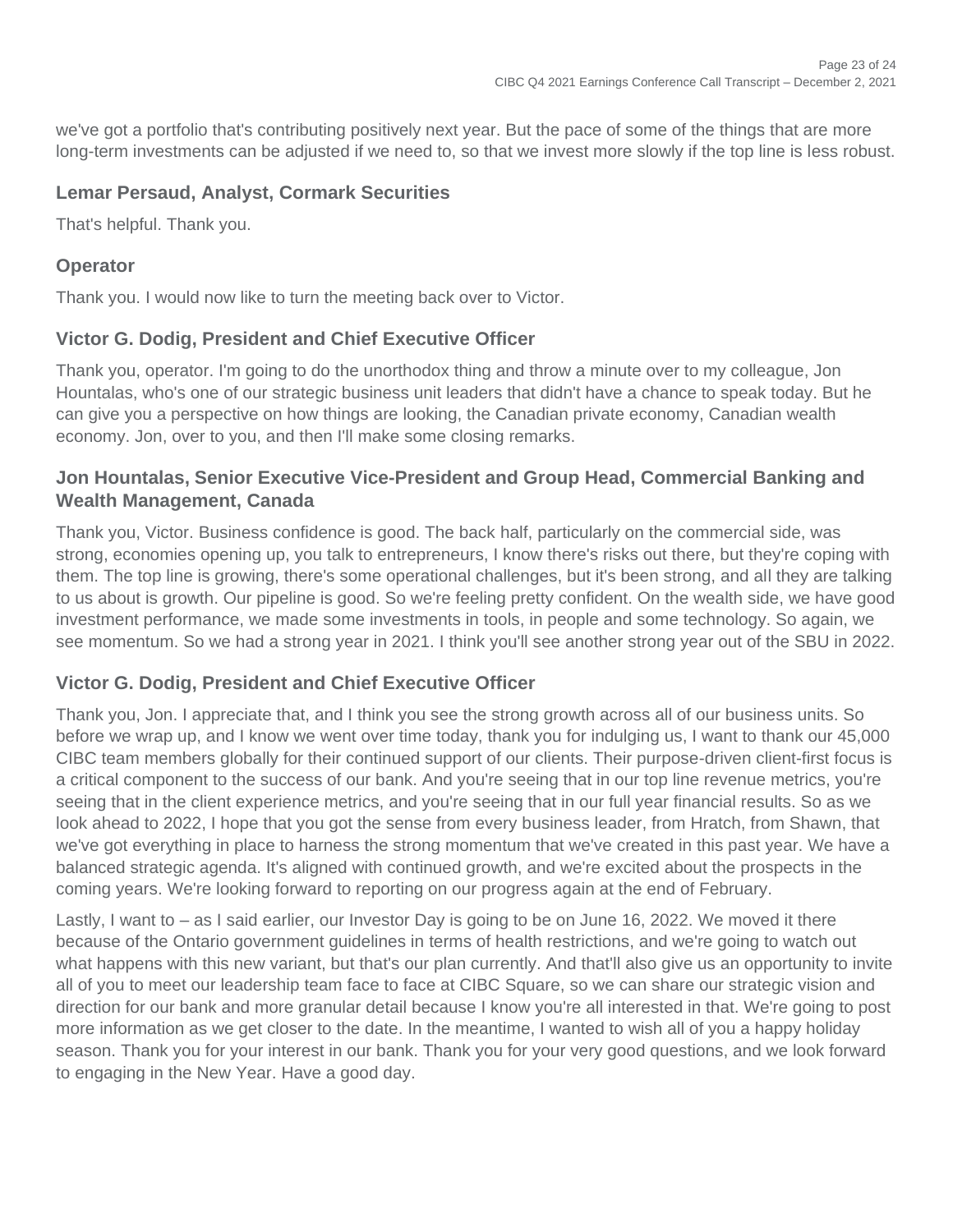we've got a portfolio that's contributing positively next year. But the pace of some of the things that are more long-term investments can be adjusted if we need to, so that we invest more slowly if the top line is less robust.

#### **Lemar Persaud, Analyst, Cormark Securities**

That's helpful. Thank you.

#### **Operator**

Thank you. I would now like to turn the meeting back over to Victor.

### **Victor G. Dodig, President and Chief Executive Officer**

Thank you, operator. I'm going to do the unorthodox thing and throw a minute over to my colleague, Jon Hountalas, who's one of our strategic business unit leaders that didn't have a chance to speak today. But he can give you a perspective on how things are looking, the Canadian private economy, Canadian wealth economy. Jon, over to you, and then I'll make some closing remarks.

### **Jon Hountalas, Senior Executive Vice-President and Group Head, Commercial Banking and Wealth Management, Canada**

Thank you, Victor. Business confidence is good. The back half, particularly on the commercial side, was strong, economies opening up, you talk to entrepreneurs, I know there's risks out there, but they're coping with them. The top line is growing, there's some operational challenges, but it's been strong, and all they are talking to us about is growth. Our pipeline is good. So we're feeling pretty confident. On the wealth side, we have good investment performance, we made some investments in tools, in people and some technology. So again, we see momentum. So we had a strong year in 2021. I think you'll see another strong year out of the SBU in 2022.

### **Victor G. Dodig, President and Chief Executive Officer**

Thank you, Jon. I appreciate that, and I think you see the strong growth across all of our business units. So before we wrap up, and I know we went over time today, thank you for indulging us, I want to thank our 45,000 CIBC team members globally for their continued support of our clients. Their purpose-driven client-first focus is a critical component to the success of our bank. And you're seeing that in our top line revenue metrics, you're seeing that in the client experience metrics, and you're seeing that in our full year financial results. So as we look ahead to 2022, I hope that you got the sense from every business leader, from Hratch, from Shawn, that we've got everything in place to harness the strong momentum that we've created in this past year. We have a balanced strategic agenda. It's aligned with continued growth, and we're excited about the prospects in the coming years. We're looking forward to reporting on our progress again at the end of February.

Lastly, I want to – as I said earlier, our Investor Day is going to be on June 16, 2022. We moved it there because of the Ontario government guidelines in terms of health restrictions, and we're going to watch out what happens with this new variant, but that's our plan currently. And that'll also give us an opportunity to invite all of you to meet our leadership team face to face at CIBC Square, so we can share our strategic vision and direction for our bank and more granular detail because I know you're all interested in that. We're going to post more information as we get closer to the date. In the meantime, I wanted to wish all of you a happy holiday season. Thank you for your interest in our bank. Thank you for your very good questions, and we look forward to engaging in the New Year. Have a good day.